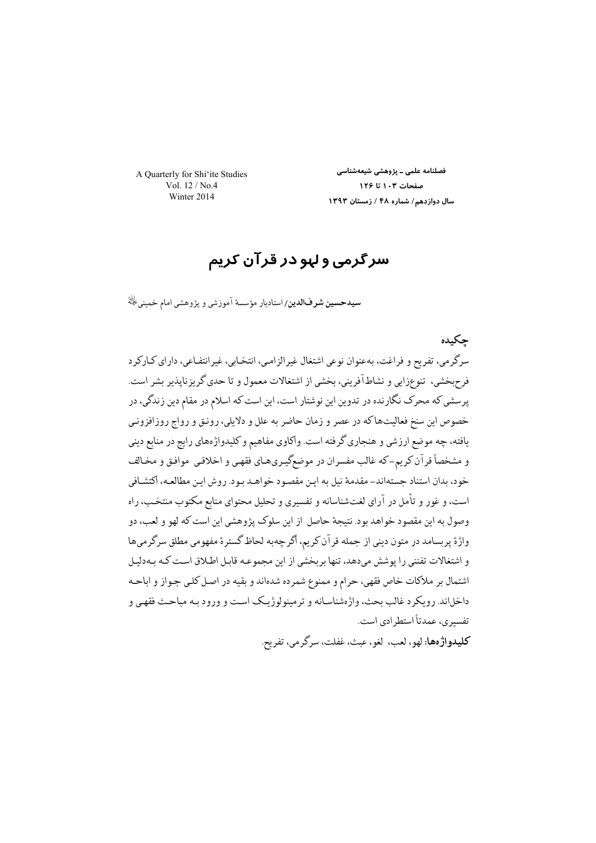A Quarterly for Shi'ite Studies Vol. 12 / No.4 Winter 2014

فصلنامه علمی ــ پژوهشی شیعهشناسی صفحات ۱۰۳ تا ۱۲۶ سال دوازدهم/ شماره ۴۸ / زمستان ۱۳۹۳

# سرگرمی و لہو در قرآن کریم

**سیدحسین شرفالدین/**استادیار مؤسسهٔ آموزشی و پژوهشی امام خمینی <sup>پان</sup>هٔ

حكىدە سرگرمي، تفريح و فراغت، بهعنوان نوعي اشتغال غيرالزامي، انتخـابي، غيرانتفـاعي، داراي كـاركرد فرح بخشي، تنوعزايي و نشاط آفريني، بخشي از اشتغالات معمول و تا حدى گريزنايذير بشر است. پرسشي كه محرك نگارنده در تدوين اين نوشتار است، اين است كه اسلام در مقام دين زندگي، در خصوص این سنخ فعالیتهاکه در عصر و زمان حاضر به علل و دلایلی، رونق و رواج روزافزونی یافته، چه موضع ارزشی و هنجاری گرفته است. واکاوی مفاهیم و کلیدواژههای رایج در منابع دینی و مشخصاً قرآن کریم-که غالب مفسران در موضعگیریهـای فقهـی و اخلاقـی موافـق و مخـالف خود، بدان استناد جستهاند– مقدمهٔ نیل به این مقصود خواهـد بـود. روش ایـن مطالعـه، اکتشـافی است، و غور و تأمل در آراي لغتشناسانه و تفسيري و تحليل محتواي منابع مكتوب منتخب، راه وصول به این مقصود خواهد بود. نتیجهٔ حاصل از این سلوک پژوهشی این است که لهو و لعب، دو واژهٔ پربسامد در متون دینی از جمله قرآن کریم، اگرچهبه لحاظ گسترهٔ مفهومی مطلق سرگرمیها و اشتغالات تفنني را يوشش مىدهد، تنها بربخشي از اين مجموعـه قابـل اطـلاق اسـت كـه بـهدليـل اشتمال بر ملاكات خاص فقهي، حرام و ممنوع شمرده شدهاند و بقيه در اصل كلي جـواز و اباحـه داخلاند. رويكرد غالب بحث، واژهشناسـانه و ترمينولوژيـك اسـت و ورود بـه مباحـث فقهـي و تفسیر ی، عمدتاً استطر ادی است. كليدواژهها: لهو، لعب، لغو، عيث، غفلت، سرگر مي، تفريح.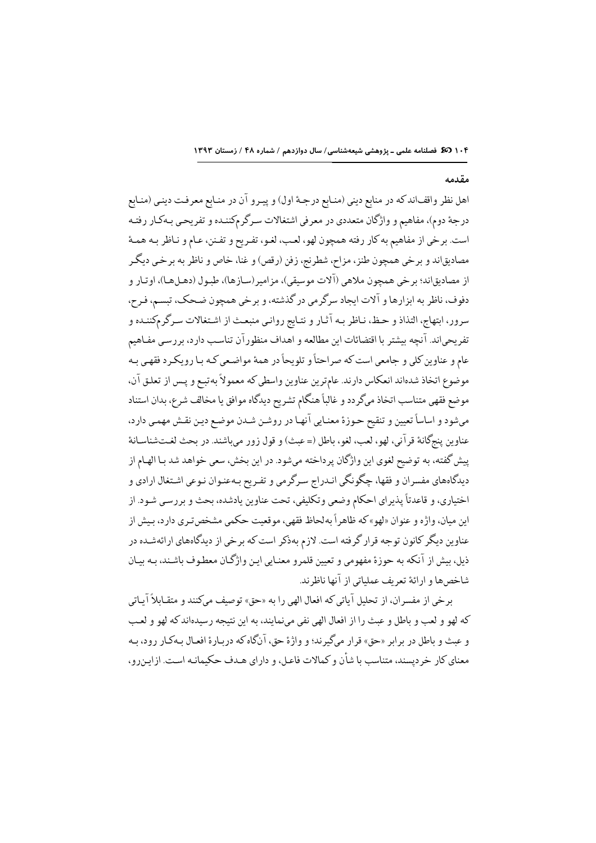#### مقدمه

اهل نظر واقفاند كه در منابع ديني (منـابع درجـهٔ اول) و پيـرو آن در منـابع معرفـت دينـي (منـابع درجهٔ دوم)، مفاهیم و واژگان متعددی در معرفی اشتغالات سـرگرمکننـده و تفریحـی بـهکـار رفتـه است. برخي از مفاهيم به كار رفته همچون لهو، لعب، لغـو، تفـريح و تفـنن، عـام و نـاظر بـه همـهٔ مصاديقاند و برخي همچون طنز، مزاح، شطرنج، زفن (رقص) و غنا، خاص و ناظر به برخي ديگر از مصاديق|ند؛ پر خي همچون ملاهي (آلات موسيقي)، مز امير (سـاز ها)، طبـول (دهـلهـا)، او تـار و دفوف، ناظر به ابزارها و آلات ایجاد سرگرمی در گذشته، و برخی همچون ضحک، تبسم، فـرح، سرور، ابتهاج، التذاذ و حظ، نـاظر بـه آثـار و نتـايج روانـي منبعـث از اشـتغالات سـرگرمكننـده و تفريحياند. آنچه بيشتر با اقتضائات اين مطالعه و اهداف منظورآن تناسب دارد، بررسي مفـاهيم عام و عناوین کلی و جامعی است که صراحتاً و تلویحاً در همهٔ مواضعی که بـا رویکـرد فقهـی بـه موضوع اتخاذ شدهاند انعكاس دارند. عامترين عناوين واسطى كه معمولاً بهتبـع و پـس از تعلـق آن، موضع فقهي متناسب اتخاذ مىگردد و غالباً هنگام تشريح ديدگاه موافق يا مخالف شرع، بدان استناد مي شود و اساساً تعيين و تنقيح حـوزة معنـايي آنهـا در روشـن شـدن موضـع ديـن نقـش مهمـي دارد، عناوين پنجگانهٔ قرآني، لهو، لعب، لغو، باطل (= عبث) و قول زور ميباشند. در بحث لغـتشناسـانهٔ ييش گفته، به توضيح لغوي اين واژگان پرداخته ميشود. در اين بخش، سعي خواهد شد بـا الهـام از دیدگاههای مفسران و فقها، چگونگی انـدراج سـرگرمی و تفـریح بـهعنـوان نـوعی اشـتغال ارادی و اختیاری، و قاعدتاً پذیرای احکام وضعی وتکلیفی، تحت عناوین یادشده، بحث و بررسی شود. از اين ميان، واژه و عنوان «لهو» كه ظاهراً به لحاظ فقهي، موقعت حكمي مشخص تيري دارد، بيش از عناوین دیگر کانون توجه قرار گرفته است. لازم بهذکر است که برخی از دیدگاههای ارائهشـده در ذيل، بيش از آنكه به حوزة مفهومي و تعيين قلمرو معنـايي ايـن واژگـان معطـوف باشـند، بـه بيـان شاخصها و ارائهٔ تعریف عملیاتی از آنها ناظرند.

برخي از مفسران، از تحليل آياتي كه افعال الهي را به «حق» توصيف ميكنند و متقـابلاً آيـاتي كه لهو و لعب و باطل و عبث را از افعال الهي نفي مي نمايند، به اين نتيجه رسيدهاند كه لهو و لعب و عيث و باطل در برابر «حق» قرار ميگيرند؛ و واژهٔ حق، آنگاه كه درپارهٔ افعـال بـهكـار رود، بـه معناي كار خر ديسند، متناسب با شأن و كمالات فاعـل، و داراي هـدف حكيمانـه اسـت. ازايـن,رو،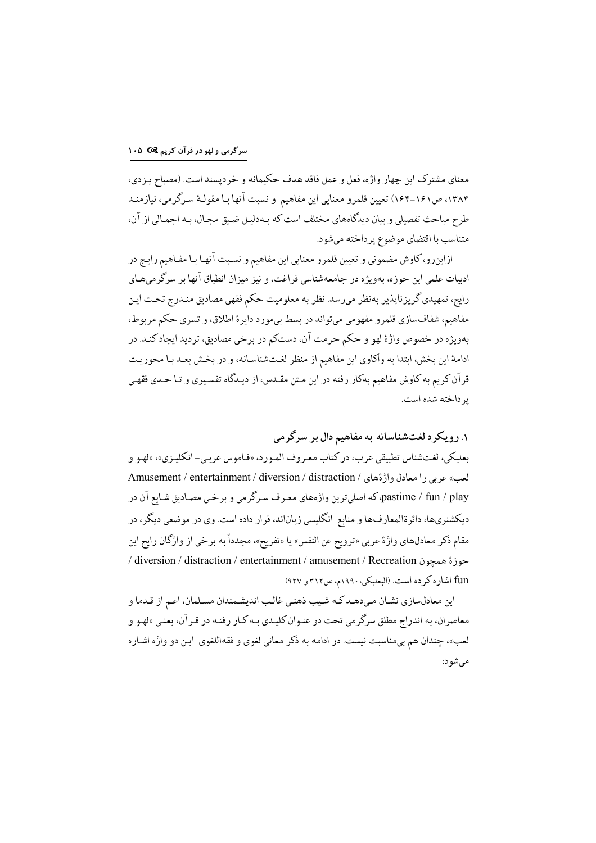معناي مشترک اين چهار واژه، فعل و عمل فاقد هدف حکيمانه و خردپسند است. (مصباح يـزدي، ۱۳۸۴، ص۱۶۱–۱۶۴) تعیین قلمرو معنایی این مفاهیم و نسبت آنها بـا مقولـهٔ سـرگرمی، نیازمنـد طرح مباحث تفصیلی و بیان دیدگاههای مختلف است که بـهدلیـل ضـیق مجـال، بـه اجمـالی از آن، متناسب با اقتضای موضوع پر داخته می شود.

ازاینرو، کاوش مضمونی و تعیین قلمرو معنایی این مفاهیم و نسبت آنها بـا مفـاهیم رایـج در ادييات علمي اين حوزه، بهويژه در جامعهشناسي فراغت، و نيز ميزان انطباق آنها بر سرگر مي هـاي رايج، تمهيدي گريزناپذير بهنظر مىرسد. نظر به معلوميت حكم فقهي مصاديق منـدرج تحـت ايـن مفاهيم، شفافسازي قلمرو مفهومي ميتواند در بسط بيمورد دايرة اطلاق، و تسري حكم مربوط، بهويژه در خصوص واژهٔ لهو و حکم حرمت آن، دستکم در برخي مصاديق، ترديد ايجادکنـد. در ادامهٔ این بخش، ابتدا به واکاوی این مفاهیم از منظر لغتشناسانه، و در بخش بعـد بـا محوریـت قرآن کریم به کاوش مفاهیم بهکار رفته در این مـتن مقـدس، از دیـدگاه تفسـیری و تـا حـدی فقهـی یر داخته شده است.

۱. رویکرد لغتشناسانه به مفاهیم دال بر سرگرمی

بعليكي، لغت شناس تطبيقي عرب، در كتاب معيروف المورد، «قياموس عربي–انكلييزي»، «لهو و لعب» عربي را معادل واژةهاي / Amusement / entertainment / diversion / distraction pastime / fun / play، که اصلیترین واژههای معـرف سـرگرمی و برخـی مصـادیق شـایع آن در دیکشنریها، دائرةالمعارفها و منابع انگلیسی زباناند، قرار داده است. وی در موضعی دیگر، در مقام ذكر معادلهاي واژة عربي «ترويح عن النفس» يا «تفريح»، مجدداً به برخي از واژگان رايج اين / diversion / distraction / entertainment / amusement / Recreation )i 6^ fun اشاره كرده است. (البعلبكي، ١٩٩٠م، ص٣١٢ و ٩٢٧)

اين معادلسازي نشـان مـىدهـد كـه شـيب ذهنـي غالـب انديشـمندان مسـلمان، اعـم از قـدما و معاصران، به اندراج مطلق سرگرمي تحت دو عنـوان كليـدي بـه كـار رفتـه در قـرآن، يعنـي «لهـو و لعب»، چندان هم بيءناسبت نيست. در ادامه به ذكر معاني لغوي و فقهاللغوي ايـن دو واژه اشـاره می شو د: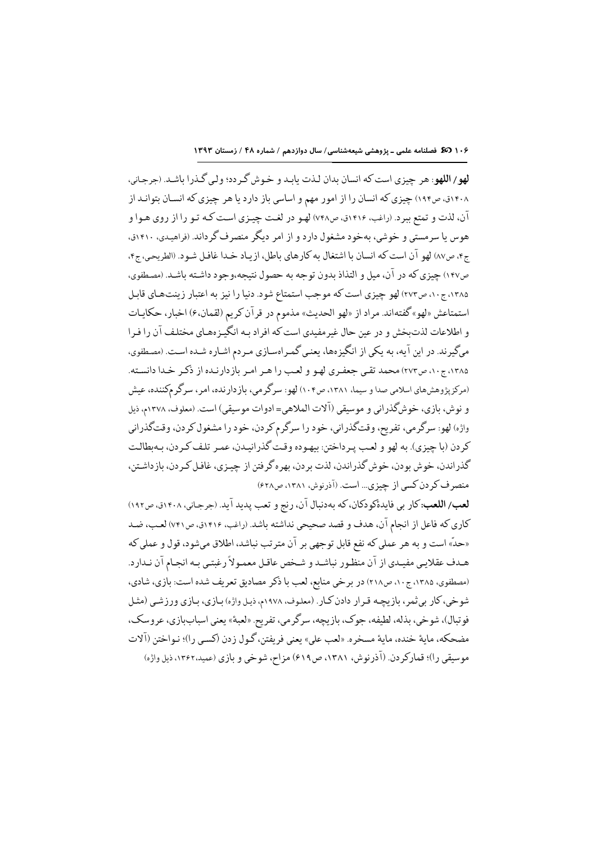لهو/ اللهو: هر چيزي است كه انسان بدان لـذت يابـد و خـوش گـر دد؛ ولـي گـذرا باشـد. (جرجـاني، ۱۴۰۸ق، ص۱۹۴) چیزی که انسان را از امور مهم و اساسی باز دارد یا هر چیزی که انسـان بتوانـد از آن، لذت و تمتع ببرد. (راغب، ۱۴۱۶ق، ص۷۴۸) لهـو در لغـت چيـزي اسـت كـه تـو را از روي هـوا و هوس یا سرمستی و خوشی، بهخود مشغول دارد و از امر دیگر منصرف گرداند. (فراهیدی، ۱۴۱۰ق، ج۴، ص٨٧) لهو آن است كه انسان با اشتغال به كارهاي باطل، ازياد خدا غافل شـود. (الطريحي، ج۴، ص١٤٧) چيزي كه در آن، ميل و التذاذ بدون توجه به حصول نتيجه،وجود داشـته باشـد. (مصطفوي، ۱۳۸۵، ج۱۰، ص۲۷۳) لهو چیزی است که موجب استمتاع شود. دنیا را نیز به اعتبار زینتهای قابل استمتاعش «لهو» گفتهاند. مراد از «لهو الحديث» مذموم در قرآن كريم (لقمان،ع) اخبار، حكايـات و اطلاعات لذتبخش و در عين حال غيرمفيدي است كه افراد بـه انگيـزههـاي مختلـف آن را فـرا میگیرند. در این آیه، به یکی از انگیزهها، یعنی گمـراهسـازی مـردم اشـاره شـده اسـت. (مصطفوی، ۱۳۸۵، ج۱۰، ص۲۷۳) محمد تقى جعفـرى لهـو و لعب را هـر امـر بازدارنـده از ذكـر خـدا دانسـته. (مرکزیژوهشرهای اسلامی صدا و سیما، ۱۳۸۱، ص۱۰۴) لهو: سرگرمی، بازدارنده، امر، سرگرمکننده، عیش و نوش، بازي، خوشگذراني و موسيقي (آلات الملاهي= ادوات موسيقي) است. (معلوف، ١٣٧٨م، ذيل واژه) لهو: سرگرمي، تفريح، وقتگذراني، خود را سرگرم كردن، خود را مشغول كردن، وقتگذراني كر دن (ما چيزي). په لهو و لعب پير داختن: پيهوده وقت گذر انبيدن، عمير تلف كير دن، پيهيطالت گذر اندن، خوش بودن، خوش گذراندن، لذت بردن، بهره گرفتن از چیـزی، غافـل کـردن، بازداشـتن، منصر ف کر دن کسی از چیزی... است. (آذرنوش، ۱۳۸۱، ص۶۲۸)

لعب/ اللعب: کار بی فایدهٔکودکان، که بهدنبال آن، رنج و تعب پدید آید. (جرجانی، ۱۴۰۸ق، ص۱۹۲) كاري كه فاعل از انجام آن، هدف و قصد صحيحي نداشته باشد. (راغب، ١٤١۶ق، ص٧٤١) لعب، ضد «حدٌ» است و به هر عملي كه نفع قابل توجهي بر آن مترتب نباشد، اطلاق ميشود، قول و عملي كه هـدف عقلايـي مفيـدي از آن منظـور نباشـد و شـخص عاقـل معمـولاً رغبتـي بـه انجـام آن نـدارد. (مصطفوي، ١٣٨۵، ج١٠، ص٢١٨) در برخي منابع، لعب با ذكر مصاديق تعريف شده است: بازي، شادي، شوخي، كار بي ثمر، بازيچـه قـرار دادن كـار. (معلوف، ١٩٧٨م، ذيـل واژه) بـازي، بـازي ورزشـي (مثـل فوتبال)، شوخي، بذله، لطيفه، جوک، بازيچه، سرگرمي، تفريح «لعبهٔ» يعني اسباببازي، عروسک، مضحكه، ماية خنده، ماية مسخره. «لعب علي» يعني فريفتن، گـول زدن (كسـي را)؛ نـواختن (آلات موسيقى را)؛ قماركر دن. (آذرنوش، ١٣٨١، ص٤١٩) مزاح، شوخي و يازي (عميد،١٣٤٢، ذيل واژه)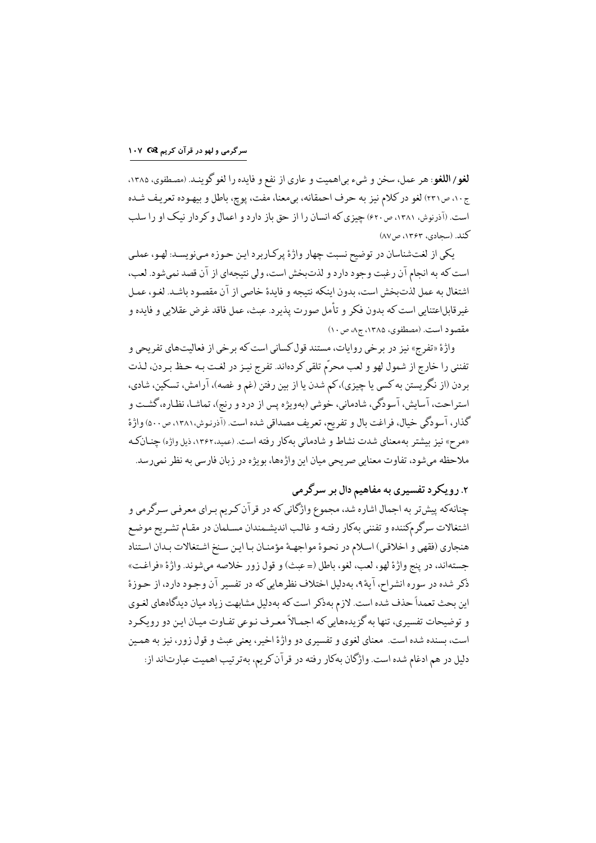لغو/ اللغو: هر عمل، سخن و شيء بي|هميت و عاري از نفع و فايده را لغو گوينـد. (مصطفوي، ١٣٨٥، ج١٠، ص٢٣١) لغو در كلام نيز به حرف احمقانه، بي معنا، مفت، يوچ، باطل و بيهـوده تعريف شـده است. (آذرنوش، ۱۳۸۱، ص۶۲۰) چیزی که انسان را از حق باز دارد و اعمال و کر دار نیک او را سلب كند. (سحادي، ١٣۶٣، ص٧٨)

يكي از لغتشناسان در توضيح نسبت چهار واژهٔ پركاربرد اين حوزه مىنويسد: لهو، عملي است كه به انجام آن رغبت وجود دارد و لذتبخش است، ولي نتيجهاي از آن قصد نمي شود. لعب، اشتغال به عمل لذت بخش است، بدون اينكه نتيجه و فايدة خاصي از آن مقصود باشـد. لغـو، عمـل غيرقابل|عتنايي است كه بدون فكر و تأمل صورت پذيرد. عبث، عمل فاقد غرض عقلايي و فايده و مقصود است. (مصطفوى، ١٣٨۵، ج٨، ص١٠)

واژهٔ «تفرج» نیز در برخی روایات، مستند قول کسانی است که برخی از فعالیتهای تفریحی و تفنني را خارج از شمول لهو و لعب محرّم تلقى كردهاند. تفرج نيـز در لغـت بـه حـظ بـردن، لـذت بردن (از نگریستن به کسی یا چیزی)،کم شدن یا از بین رفتن (غم و غصه)، آرامش، تسکین، شادی، استراحت، آسایش، آسودگی، شادمانی، خوشی (بهویژه پس از درد و رنج)، تماشـا، نظـاره، گشـت و گذار، آسودگی خیال، فراغت بال و تفریح، تعریف مصداقی شده است. (آذرنوش،۱۳۸۱، ص۵۰۰) واژهٔ «مرح» نیز بیشتر بهمعنای شدت نشاط و شادمانی بهکار رفته است. (عمید،۱۳۶۲، ذیل واژه) چنـانکـه ملاحظه مي شود، تفاوت معنايي صريحي ميان اين واژهها، بويژه در زبان فارسي به نظر نمي رسد.

# ۲. رویکرد تفسیری به مفاهیم دال بر سرگرمی

چنانهکه پیش تر به اجمال اشاره شد، مجموع واژگانی که در قرآن کریم بـرای معرفی سـرگرمی و اشتغالات سرگرمكننده و تفنني بهكار رفتـه و غالـب انديشـمندان مسـلمان در مقـام تشـريح موضـع هنجاري (فقهي و اخلاقي) اسلام در نحوة مواجهـة مؤمنـان بـا ايـن سـنخ اشـتغالات بـدان اسـتناد جستهاند، در ينج واژة لهو، لعب، لغو، باطل (= عبث) و قول زور خلاصه ميشوند. واژة «فراغت» ذكر شده در سوره انشراح، آيهٔ ۹، بهدليل اختلاف نظرهايي كه در تفسير آن وجـود دارد، از حـوزهٔ این بحث تعمداً حذف شده است. لازم بهذكر است كه بهدلیل مشابهت زیاد میان دیدگاههای لغـوی و توضیحات تفسیری، تنها به گزیدههایی که اجمـالاً معـرف نـوعی تفـاوت میـان ایـن دو رویکـر د است، بسنده شده است. معناي لغوي و تفسيري دو واژهٔ اخير، يعني عبث و قول زور، نيز به همـين دلیل در هم ادغام شده است. واژگان بهكار رفته در قرآن كريم، بهترتيب اهميت عبارتاند از: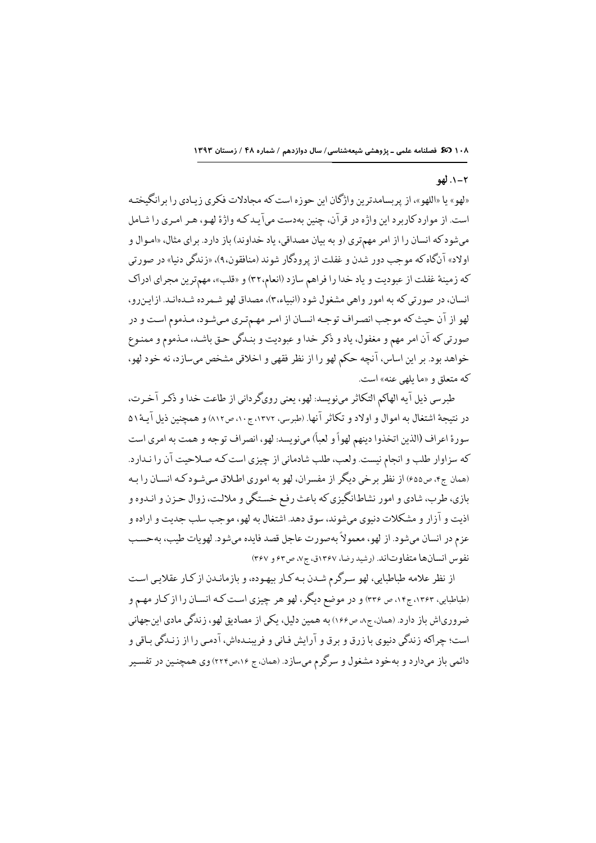### ۲-۱. لهو

«لهو» یا «اللهو»، از پربسامدترین واژگان این حوزه است که مجادلات فکری زیـادی را برانگیختـه است. از موارد کاربرد این واژه در قرآن، چنین بهدست میآیـد کـه واژهٔ لهـو، هـر امـری را شـامل میشود که انسان را از امر مهمتری (و به بیان مصداقی، یاد خداوند) باز دارد. برای مثال، «امـوال و اولاد» آنگاه که موجب دور شدن و غفلت از پرودگار شوند (منافقون،۹)، «زندگی دنیا» در صورتی که زمینهٔ غفلت از عبودیت و یاد خدا را فراهم سازد (انعام،۳۲) و «قلب»، مهمترین مجرای ادراک انسان، در صورتی که به امور واهی مشغول شود (انبیاء،۳)، مصداق لهو شـمرده شـدهانـد. ازایـنررو، لهو از آن حیث که موجب انصراف توجه انسان از امر مهمتری میشود، مذموم است و در صورتي كه آن امر مهم و مغفول، ياد و ذكر خدا و عبوديت و بنـدگي حـق باشـد، مـذموم و ممنـوع خواهد بود. بر این اساس، آنچه حکم لهو را از نظر فقهی و اخلاقی مشخص میسازد، نه خود لهو، که متعلق و «ما بلهی عنه» است.

طبرسي ذيل آيه الهاكم التكاثر مىنويسد: لهو، يعني روىگردانى از طاعت خدا و ذكـر آخـرت، در نتيجة اشتغال به اموال و اولاد و تكاثر آنها. (طبرسي، ١٣٧٢، ج١٠، ص١٢٧) و همچنين ذيل آيـهٔ ٥١ سورة اعراف (الذين اتخذوا دينهم لهواً و لعباً) مينويسد: لهو، انصراف توجه و همت به امري است كه سزاوار طلب و انجام نيست. ولعب، طلب شادماني از چيزي است كـه صـلاحيت آن را نـدارد. (همان ج۴، ص۶۵۵) از نظر برخي ديگر از مفسران، لهو به اموري اطلاق ميشودكه انسـان را بـه بازي، طرب، شادي و امور نشاطانگيزي كه باعث رفع خستگي و ملالت، زوال حـزن و انـدوه و اذيت و آزار و مشكلات دنيوي ميشوند، سوق دهد. اشتغال به لهو، موجب سلب جديت و اراده و عزم در انسان ميشود. از لهو، معمولاً بهصورت عاجل قصد فايده ميشود. لهويات طيب، بهحسب نفوس انسانها متفاوتاند. (رشيد رضا، ١٣٤٧ق، ج٧، ص٤٢ و ٣٤٧)

از نظر علامه طباطبایی، لهو سرگرم شـدن بـه کـار بیهـوده، و بازمانـدن از کـار عقلایـی اسـت (طباطبایی، ۱۳۶۳، ج۱۴، ص ۳۳۶) و در موضع دیگر، لهو هر چیزی است کـه انسـان را از کـار مهـم و ضرورياش باز دارد. (همان، ج٨، ص١٤۶) به همين دليل، يكي از مصاديق لهو، زندگي مادي اين جهاني است؛ چراکه زندگی دنبوی با زرق و برق و آرایش فـانی و فریبنـدهاش، آدمـی را از زنـدگی بـاقی و دائمی باز میدارد و بهخود مشغول و سرگرم میسازد. (همان، ج ۱۶،ص۲۲۴) وی همچنین در تفسیر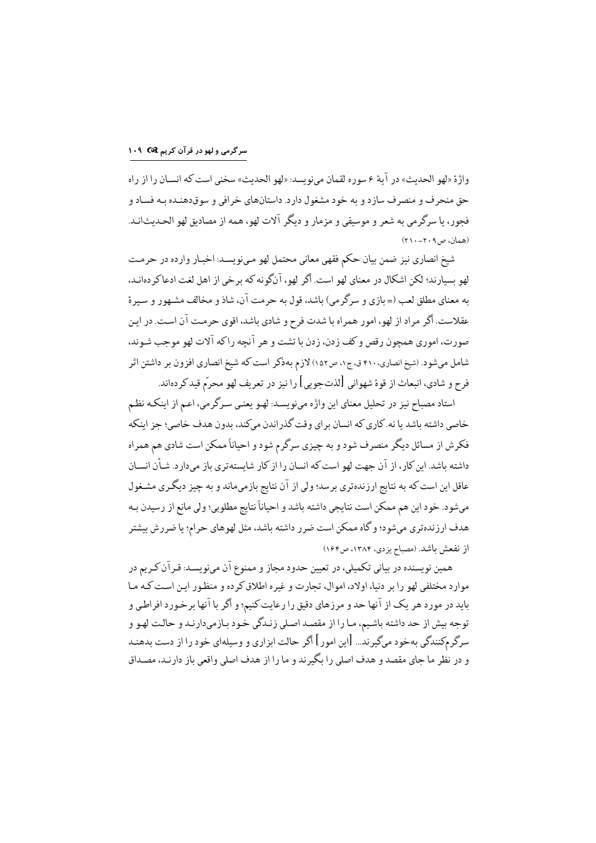# سرگرمی و لهو در قرآن کریم C& ۱۰۹

واژهٔ «لهو الحديث» در آيهٔ ۶ سوره لقمان مي نويسد: «لهو الحديث» سخني است كه انسـان را از راه حق منحرف و منصرف ساز د و به خود مشغول دارد. داستانهای خرافی و سوقدهنده به فسـاد و فجور، يا سرگرمي به شعر و موسيقى و مزمار و ديگر آلات لهو، همه از مصاديق لهو الحـديث|نـد. (همان، ص٢٠٩-٢١٠)

شيخ انصاري نيز ضمن بيان حكم فقهي معاني محتمل لهو مي,نويسـد: اخبـار وارده در حرمـت لهو بسيار ند؛ لكن اشكال در معناي لهو است. أگر لهو، آنگو نه كه بر خي از اهل لغت ادعاكر دهانـد، به معناي مطلق لعب (= بازي و سرگرمي) باشد، قول به حرمت آن، شاذ و مخالف مشهور و سيرة عقلاست. أگر مراد از لهو، امور همراه با شدت فرح و شادي باشد، اقوي حرمت آن است. در اين صورت، اموري همچون رقص و كف زدن، زدن با تشت و هر آنچه راكه آلات لهو موجب شـوند، شامل میشود. (شیخ انصاری، ۴۱۰ ق، ج۰، ص۱۵۲) لازم بهذکر است که شیخ انصاری افزون بر داشتن اثر فرح و شادي، انبعاث از قوءً شهواني [لذتجويي] را نيز در تعريف لهو محرّم قيد كردهاند.

استاد مصباح نیز در تحلیل معنای این واژه مینویسـد: لهـو یعنـی سـرگرمی، اعـم از اینکـه نظـم خاصي داشته باشد يا نه. كاري كه انسان براي وقت گذراندن ميكند، بدون هدف خاصي؛ جز اينكه فکرش از مسائل دیگر منصرف شود و به چیزی سرگرم شود و احیاناً ممکن است شادی هم همراه داشته باشد. این کار، از آن جهت لهو است که انسان را از کار شایستهتری باز میدارد. شـأن انسـان عاقل این است که به نتایج ارزندهتری برسد؛ ولی از آن نتایج بازمیماند و به چیز دیگری مشـغول ميشود. خود اين هم ممكن است نتايجي داشته باشد و احياناً نتايج مطلوبي؛ ولي مانع از رسيدن بـه هدف ارزندهتري ميشود؛ و گاه ممكن است ضرر داشته باشد، مثل لهوهاي حرام؛ يا ضررش بيشتر از نفعش باشد. (مصباح يزدي، ١٣٨۴، ص١۶۴)

همین نویسنده در بیانی تکمیلی، در تعیین حدود مجاز و ممنوع آن مینویسـد: قـرآن کـریم در موارد مختلفي لهو را بر دنيا، اولاد، اموال، تجارت و غيره اطلاق كرده و منظور اين است كـه مـا باید در مورد هر یک از آنها حد و مرزهای دقیق را رعایت کنیم؛ و اگر با آنها برخورد افراطی و توجه بيش از حد داشته باشيم، مـا را از مقصـد اصـلي زنـدگي خـود بـازميدارنـد و حالـت لهـو و سرگر مکنندگی بهخود میگیرند... [این امور] اگر حالت ابزاری و وسیلهای خود را از دست بدهنـد و در نظر ما حای مقصد و هدف اصلی را یگیرند و ما را از هدف اصلی واقعی باز دارنید، مصداق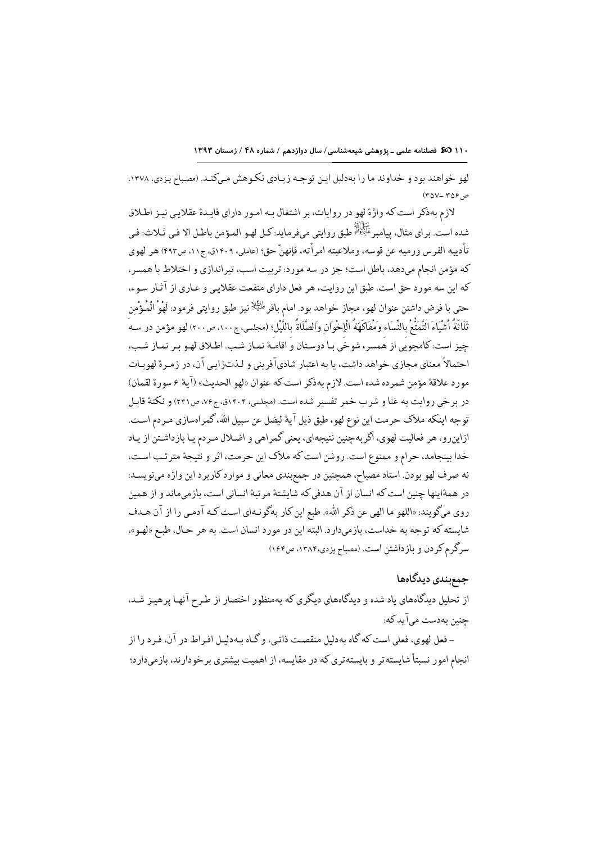١١٠ 38 فصلنامه علمى - پزوهشى شيعهشناسى/ سال دوازدهم / شماره ۴٨ / زمستان ١٣٩٣

لهو خواهند بود و خداوند ما را بهدلیل این توجه زیادی نکوهش میکند. (مصباح یزدی، ۱۳۷۸،  $(20 - 709)$ 

لازم بهذکر است که واژهٔ لهو در روایات، بر اشتغال بـه امـور دارای فایـدهٔ عقلایـی نیـز اطـلاق شده است. براي مثال، پيامبر ﷺ طبق روايتي ميفرمايد.كـل لهـو المـؤمن باطـل الا فـي ثـلاث: فـي تأديبه الفرس ورميه عن قوسه، وملاعبته امرأته، فإنهنّ حق؛ (عاملي، ١٤٠٩ق، ج١١، ص٤٩٣) هر لهوى که مؤمن انجام میدهد، باطل است؛ جز در سه مورد: تربیت اسب، تیر اندازی و اختلاط با همسر ، كه اين سه مورد حق است. طبق اين روايت، هر فعل داراي منفعت عقلاييي و عـاري از آثـار سـوء، حتى با فرض داشتن عنوان لهو، مجاز خواهد بود. امام باقر <sup>طائِلا</sup> نيز طبق روايتي فرمود: لَهْوُ الْمُؤْمن ثَلَاثَةُ أَشْيَاءَ التَّمَتُّعُ بِالنِّسَاء وَمُفَاكَهَةُ الْإِخْوَان والصَّلَاةُ بِاللَّيْلِ؛ (مجلسى، ج٤٠٠، ص٤٠٠) لهو مؤمن در سـه چيز است:كامجويي از هُمسر، شوخي بـا دوسـتان و اقامـهٔ نمـاز شـب. اطـلاق لهـو بـر نمـاز شـب، احتمالاً معنای محازی خواهد داشت، با به اعتبار شادیآفرینی و لـذتزایی آن، در زمـرهٔ لهویـات مورد علاقةً مؤمن شمرده شده است. لازم بهذكر است كه عنوان «لهو الحديث» (آية ع سورة لقمان) در برخی روایت به غنا و شرب خمر تفسیر شده است. (مجلسی، ۱۴۰۴ق، ج۶۶، ص۲۴۱) و نکتهٔ قابل توجه اينكه ملاك حرمت اين نوع لهو، طبق ذيل آية ليضل عن سبيل الله، گمراهسازي مـردم اسـت. ازاینرو، هر فعالیت لهوی، اگربهچنین نتیجهای، یعنی گمراهی و اضلال مـردم یـا بازداشـتن از یـاد خدا بینجامد، حرام و ممنوع است. روشن است که ملاک این حرمت، اثر و نتیجهٔ متر تب است، نه صرف لهو بودن. استاد مصباح، همچنین در جمع بندی معانی و موارد کاربرد این واژه می نویسد: در همهٔاینها چنین است که انسان از آن هدفی که شایشتهٔ مرتبهٔ انسانی است، بازمیماند و از همین روى مىگويند: «اللهو ما الهى عن ذكر الله». طبع اين كار بهگونـهاى اسـت كـه آدمـى را از آن هـدف شايسته كه توجه به خداست، بازميدارد. البته اين در مورد انسان است. به هر حـال، طبـع «لهـو»، سرگرم كردن و بازداشتن است. (مصباح يزدي،۱۳۸۴، ص۱۶۴)

## جمع بندی دیدگاهها

از تحلیل دیدگاههای یاد شده و دیدگاههای دیگری که بهمنظور اختصار از طرح آنها پرهیـز شـد، حنین بهدست میآید که:

- فعل لهوي، فعلي است كه گاه بهدليل منقصت ذاتـي، و گـاه بـهدليـل افـراط در آن، فـرد را از انجام امور نسبتاً شایستهتر و بایستهتری که در مقایسه، از اهمیت بیشتری بر خودارند، بازمیدارد؛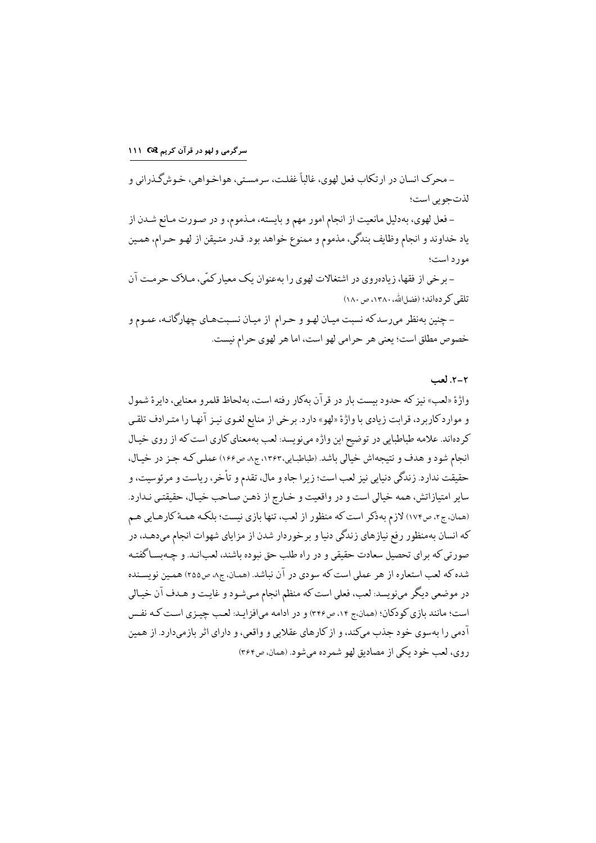ـ محرک انسان در ارتکاب فعل لهوي، غالباً غفلـت، سرمسـتي، هواخـواهي، خـوشگـذراني و لذتجوبي است؛

- فعل لهوي، بهدليل مانعيت از انجام امور مهم و بايسته، مـذموم، و در صـورت مـانع شـدن از ياد خداوند و انجام وظايف بندگي، مذموم و ممنوع خواهد بود. قـدر متـيقن از لهـو حـرام، همـين مورد است؛

- برخي از فقها، زيادهروي در اشتغالات لهوي را بهعنوان يک معيار کمّي، مـلاک حرمـت آن تلقی کر دهاند؛ (فضل الله، ١٣٨٠، ص ١٨٠)

- چنین بهنظر میرسدکه نسبت میـان لهـو و حـرام از میـان نسـبتهـای چهارگانـه، عمـوم و خصوص مطلق است؛ يعني هر حرامي لهو است، اما هر لهوى حرام نيست.

### ٢-٢. لعب

واژهٔ «لعب» نیز که حدود بیست بار در قرآن بهکار رفته است، بهلحاظ قلمرو معنایی، دایرهٔ شمول و موارد کاربرد، قرابت زیادی با واژهٔ «لهو» دارد. برخی از منابع لغـوی نیـز آنهـا را متـرادف تلقـی كردهاند. علامه طباطبايي در توضيح اين واژه مينويسد: لعب بهمعناي كاري است كه از روى خيال انجام شود و هدف و نتيجهاش خيالي باشد. (طباطبايي،١٣٤٣، ج٨، ص١٤۶) عمليي كـه جـز در خيـال، حقيقت ندارد. زندگي دنيايي نيز لعب است؛ زيرا جاه و مال، تقدم و تأخر، رياست و مرئوسيت، و ساير امتيازاتش، همه خيالي است و در واقعيت و خـارج از ذهـن صـاحب خيـال، حقيقتـي نـدارد. (همان، ج۲، ص۱۷۴) لازم بهذكر است كه منظور از لعب، تنها بازي نيست؛ بلكـه همـهٔ كارهـايي هـم که انسان بهمنظور رفع نیازهای زندگی دنیا و برخوردار شدن از مزایای شهوات انجام میدهـد، در صورتی که برای تحصیل سعادت حقیقی و در راه طلب حق نبوده باشند، لعبانـد. و چـهبسـاگفتـه شده که لعب استعاره از هر عملي است که سودي در آن نباشد. (همان، ج٨، ص٢٥٥) همين نويسـنده در موضعي ديگر مينويسد: لعب، فعلي است كه منظم انجام مـيشـود و غايـت و هـدف آن خيـالي است؛ مانند بازي كو دكان؛ (همان،ج ١۴، ص٣٤٤) و در ادامه مي افز ايـد: لعـب چيـزي اسـت كـه نفـس آدمی را بهسوی خود جذب میکند، و از کارهای عقلایی و واقعی، و دارای اثر بازمیدارد. از همین روي، لعب خود يكي از مصاديق لهو شمرده مي شود. (همان، ص٣۶۴)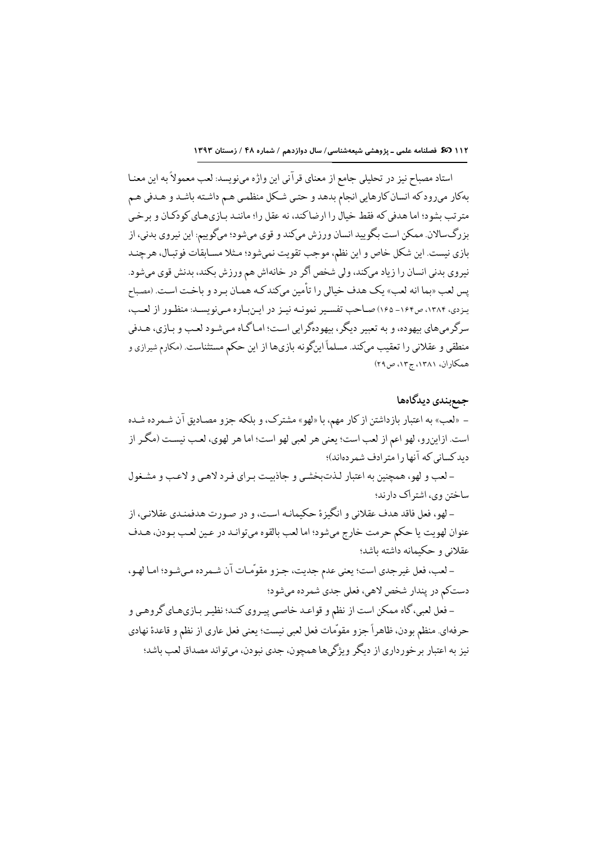استاد مصباح نيز در تحليلي جامع از معناي قرآني اين واژه مينويسد: لعب معمولاً به اين معنـا بهكار مىرودكه انسان كارهايي انجام بدهد و حتىي شكل منظمى هـم داشـته باشـد و هـدفى هـم مترتب بشود؛ اما هدفي كه فقط خيال را ارضاكند، نه عقل را؛ ماننـد بـازيهـاي كودكـان و برخـي بزرگسالان. ممکن است بگویید انسان ورزش میکند و قوی میشود؛ میگوییم: این نیروی بدنی، از بازي نيست. اين شكل خاص و اين نظم، موجب تقويت نمي شود؛ مـثلا مسـابقات فوتبـال، هرچنـد نیروی بدنی انسان را زیاد میکند، ولی شخص اگر در خانهاش هم ورزش بکند، بدنش قوی میشود. يس لعب «بما انه لعب» يك هدف خيالي را تأمين ميكندكـه همـان بـرد و باخـت اسـت. (مصباح يـزدي، ١٣٨۴، ص١۶۴ـ ١۶۵) صـاحب تفسـير نمونـه نيـز در ايـنبـاره مـيiويسـد: منظـور از لعـب، سرگرمي هاي بيهوده، و به تعبير ديگر، بيهودهگرايي است؛ امـاگـاه مـي شـود لعـب و بـازي، هـدفي منطقی و عقلانی را تعقیب میکند. مسلماً اینگونه بازیها از این حکم مستثناست. (مکارم شیرازی و همكاران، ١٣٨١، ج١٣، ص٢٩)

### جمع بندی دیدگاهها

– «لعب» به اعتبار بازداشتن از كار مهم، با «لهو» مشترك، و بلكه جزو مصاديق آن شـمرده شـده است. ازاینرو، لهو اعم از لعب است؛ یعنی هر لعبی لهو است؛ اما هر لهوی، لعب نیسـت (مگـر از دید کسانی که آنها را مترادف شمر دهاند)؛

- لعب و لهو، همچنین به اعتبار لذت بخشی و حاذیبت برای فرد لاهبی و لاعب و مشغول ساختن وي، اشتر اک دارند؛

– لهو، فعل فاقد هدف عقلاني و انگيز ة حكيمانـه اسـت، و در صـورت هدفمنـدي عقلانـي، از عنوان لهويت يا حكم حرمت خارج ميشود؛ اما لعب بالقوه مي توانـد در عـين لعـب بـودن، هـدف عقلاني و حكيمانه داشته باشد؛

- لعب، فعل غيرجدي است؛ يعني عدم جديت، جـزو مقوَّمـات آن شـمرده مـيشـود؛ امـا لهـو، دستکم در پندار شخص لاهي، فعلي جدي شمرده ميشود؛

- فعل لعبي، گاه ممكن است از نظم و قواعـد خاصـي پيـروي كنـد؛ نظيـر بـازيهـاي گروهـي و حرفهاي. منظم بودن، ظاهراً جزو مقوَّمات فعل لعبي نيست؛ يعني فعل عاري از نظم و قاعدة نهادي نیز به اعتبار برخورداری از دیگر ویژگیها همچون، جدی نبودن، میتواند مصداق لعب باشد؛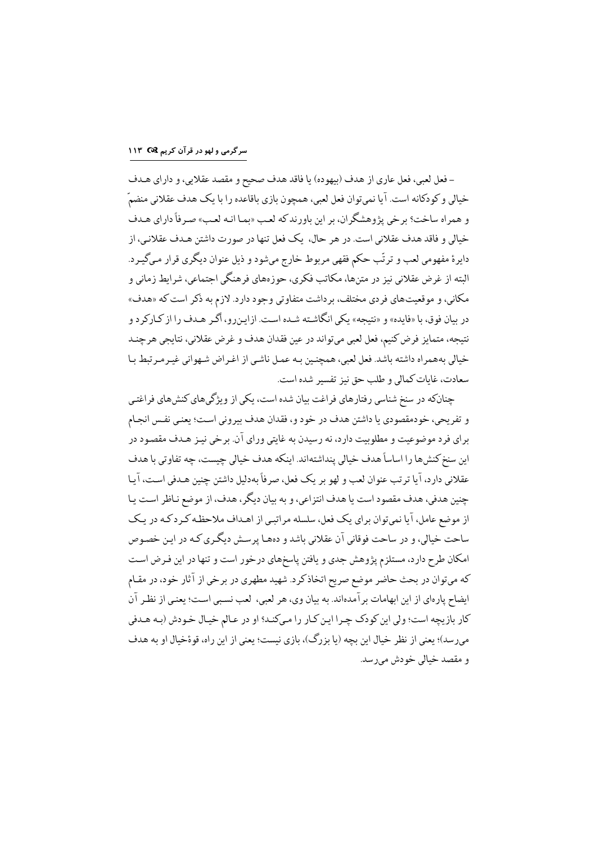# سرگرمی و لهو در قرآن کریم I۱۳ ۲۹

- فعل لعبي، فعل عاري از هدف (بيهوده) يا فاقد هدف صحيح و مقصد عقلايي، و داراي هـدف خیالی و کودکانه است. آیا نمیتوان فعل لعبی، همچون بازی باقاعده را با یک هدف عقلانی منضمّ و همراه ساخت؟ برخي يژوهشگران، بر اين باورند كه لعب «بما انـه لعب» صرفاً داراي هـدف خیالی و فاقد هدف عقلانی است. در هر حال، یک فعل تنها در صورت داشتن هـدف عقلانـی، از دایرهٔ مفهومی لعب و ترتّب حکم فقهی مربوط خارج میشود و ذیل عنوان دیگری قرار میگیرد. البته از غرض عقلانی نیز در متنها، مکاتب فکری، حوزههای فرهنگی اجتماعی، شرایط زمانی و مکانی، و موقعیتهای فردی مختلف، برداشت متفاوتی وجود دارد. لازم به ذکر است که «هدف» در بیان فوق، با «فایده» و «نتیجه» یکی انگاشته شده است. ازاینروه اگر هـدف را از کـارکرد و نتيجه، متمايز فرض كنيم، فعل لعبي ميتواند در عين فقدان هدف و غرض عقلاني، نتايجي هرجند خيالي بههمراه داشته باشد. فعل لعبي، همچنين بـه عمـل ناشـي از اغـراض شـهواني غيـرمـرتبط بـا سعادت، غابات كمالي و طلب حق نيز تفسير شده است.

چنانکه در سنخ شناسی رفتارهای فراغت بیان شده است، یکی از ویژگیهای کنشهای فراغتی و تفريحي، خودمقصودي يا داشتن هدف در خود و، فقدان هدف بيروني است؛ يعني نفس انجـام برای فرد موضوعیت و مطلوبیت دارد، نه رسیدن به غایتی ورای آن. برخی نیـز هـدف مقصـود در اين سنخ كنش٥ها را اساساً هدف خيالي پنداشتهاند. اينكه هدف خيالي چيست، چه تفاوتي با هدف عقلاني دارد، آيا ترتب عنوان لعب و لهو بر يک فعل، صرفاً بهدليل داشتن چنين هـدفي اسـت، آيـا چنین هدفی، هدف مقصود است یا هدف انتزاعی، و به بیان دیگر، هدف، از موضع نـاظر اسـت پـا از موضع عامل، آیا نمیتوان برای یک فعل، سلسله مراتبی از اهـداف ملاحظـه کـرد کـه در یـک ساحت خیالی، و در ساحت فوقانی آن عقلانی باشد و دههـا پرسـش دیگـری کـه در ایـن خصـوص امکان طرح دارد، مستلزم پژوهش جدی و یافتن پاسخهای درخور است و تنها در این فـرض اسـت که میتوان در بحث حاضر موضع صریح اتخاذ کرد. شهید مطهری در برخی از آثار خود، در مقـام ايضاح يارهاي از اين ابهامات برآمدهاند. به بيان وي، هر لعبي، لعب نسبي است؛ يعني از نظر آن كار بازيچه است؛ ولي اين كودك چـرا ايـن كـار را مـىكنـد؟ او در عـالم خيـال خـودش (بـه هـدفي میرسد)؛ یعنی از نظر خیال این بچه (یا بزرگ)، بازی نیست؛ یعنی از این راه، قوۂخیال او به هدف و مقصد خيالي خودش مي رسد.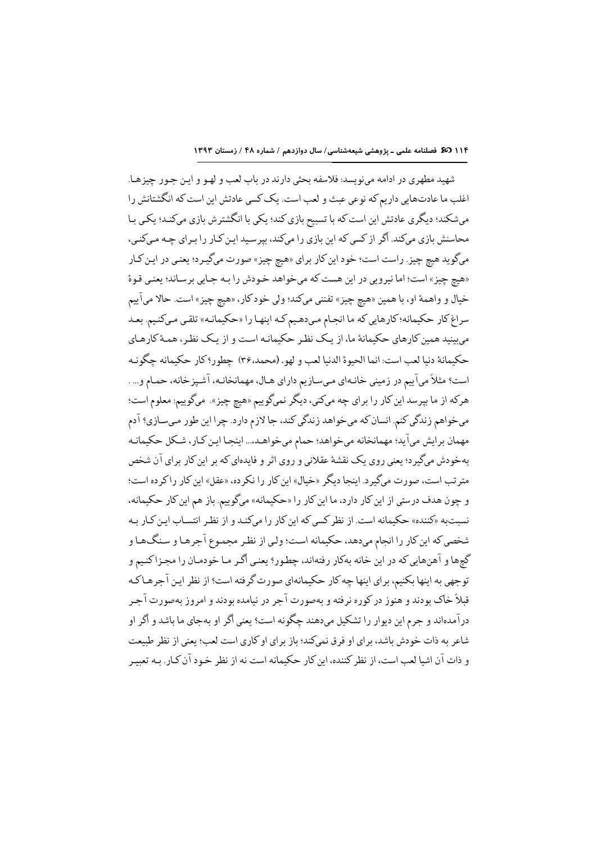شهید مطهری در ادامه مینویسد: فلاسفه بحثی دارند در باب لعب و لهـو و ایـن جـور چیزهـا. اغلب ما عادتهايي داريم كه نوعي عبث و لعب است. يك كسي عادتش اين است كه انگشتانش را میشکند؛ دیگری عادتش این است که با تسبیح بازی کند؛ یکی با انگشترش بازی میکنـد؛ یکـی بـا محاسنش بازی میکند. اگر از کسی که این بازی را میکند، بیرسید این کـار را بـرای چـه مـیکنـی، ميگويد هيچ چيز. راست است؛ خود اين كار براي «هيچ چيز» صورت ميگيـرد؛ يعنـي در ايـن كـار «هيچ چيز» است؛ اما نيرويي در اين هست كه ميخواهد خودش را بـه جـايي برسـاند؛ يعنـي قـوة خيال و واهمهٔ او، با همين «هيچ چيز» تفنني ميكند؛ ولي خودكار، «هيچ چيز» است. حالا ميآييم سراغ کار حکیمانه؛کارهایی که ما انجام می دهیم کـه اینهـا را «حکیمانـه» تلقـی مـیکنـیم. بعـد می بینید همین کارهای حکیمانهٔ ما، از یک نظر حکیمانـه اسـت و از یـک نظـر، همـهٔ کارهـای حكيمانة دنيا لعب است: انما الحيوة الدنيا لعب و لهو. (محمد،٣۶) چطور؟ كار حكيمانه چگونـه است؟ مثلاً مي آييم در زميني خانـهاي مـيسـازيم داراي هـال، مهمانخانـه، آشـپزخانه، حمـام و... . هرکه از ما بپرسد این کار را براي چه ميکني، ديگر نميگوييم «هيچ چيز». ميگوييم: معلوم است؛ مي خواهم زندگي كنم. انسان كه مي خواهد زندگي كند، جا لازم دارد. چرا اين طور مـيسـازي؟ آدم مهمان برایش میآید؛ مهمانخانه میخواهد؛ حمام میخواهـد،... اینجـا ایـن کـار، شـکل حکیمانـه بهخودش میگیرد؛ یعنی روی یک نقشهٔ عقلانی و روی اثر و فایدهای که بر این کار برای آن شخص مترتب است، صورت میگیرد. اینجا دیگر «خیال» این کار را نکرده، «عقل» این کار راکرده است؛ و چون هدف درستي از اين كار دارد، ما اين كار را «حكيمانه» ميگوييم. باز هم اين كار حكيمانه، نسبتبه «کننده» حکیمانه است. از نظر کسی که این کار را میکنـد و از نظـر انتسـاب ایـن کـار بـه شخصی که این کار را انجام میدهد، حکیمانه است؛ ولیی از نظر مجموع آجرهـا و سـنگـهـا و گچها و آهنهایی که در این خانه بهکار رفتهاند، چطور؟ یعنی اگـر مـا خودمـان را مجـزاکنـیم و توجهي به اينها بكنيم، براي اينها چه كار حكيمانهاي صورت گرفته است؟ از نظر اين آجرهـاكـه قبلاً خاک بودند و هنوز در کوره نرفته و بهصورت آجر در نیامده بودند و امروز بهصورت آجـر درآمدهاند و جرم این دیوار را تشکیل میدهند چگونه است؟ یعنی اگر او بهجای ما باشد و اگر او شاعر به ذات خودش باشد، برای او فرق نمی کند؛ باز برای او کاری است لعب؛ بعنی از نظر طبیعت و ذات آن اشیا لعب است، از نظر کننده، این کار حکیمانه است نه از نظر خـود آن کـار. بـه تعبیـر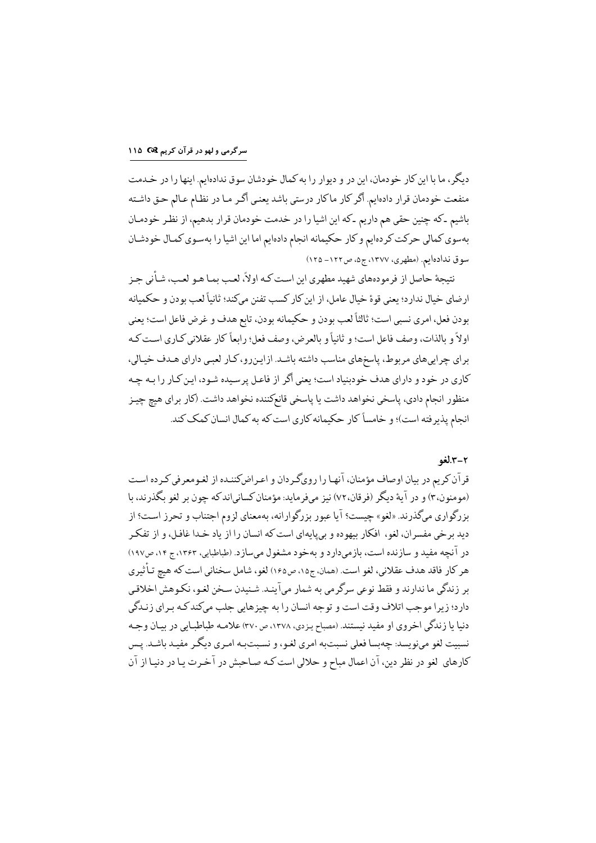دیگر، ما با این کار خودمان، این در و دیوار را به کمال خودشان سوق ندادهایم. اینها را در خـدمت منفعت خودمان قرار دادهايم. أكر كار ماكار درستي باشد يعني أكر مـا در نظـام عـالم حـق داشـته باشیم ـ که چنین حقی هم داریم ـ که این اشیا را در خدمت خودمان قرار بدهیم، از نظـر خودمـان بهسوي كمالي حركت كردهايم و كار حكيمانه انجام دادهايم اما اين اشيا را بهسوي كمـال خودشـان سوق ندادهایم. (مطهری، ۱۳۷۷، ج۵، ص۱۲۲–۱۲۵)

نتیجهٔ حاصل از فرمودههای شهید مطهری این است کـه اولاً، لعـب بمـا هـو لعـب، شـأنی جـز ارضاي خيال ندارد؛ يعني قوة خيال عامل، از اين كار كسب تفنن ميكند؛ ثانياً لعب بودن و حكميانه بودن فعل، امري نسبي است؛ ثالثاً لعب بودن و حكيمانه بودن، تابع هدف و غرض فاعل است؛ يعني اولاً و بالذات، وصف فاعل است؛ و ثانياً و بالعرض، وصف فعل؛ رابعاً كار عقلاني كـاري است كـه براي چراييهاي مربوط، پاسخهاي مناسب داشته باشد. ازايـنرو، كـار لعبـي داراي هـدف خيـالي، کاری در خود و دارای هدف خودبنیاد است؛ یعنی اگر از فاعل پرسیده شـود، ایـن کـار را بـه چـه منظور انجام دادي، ياسخي نخواهد داشت يا ياسخي قانعكننده نخواهد داشت. (كار براي هيچ چيز انجام پذیرفته است)؛ و خامساً کار حکیمانه کاری است که به کمال انسان کمک کند.

#### 2-2.الغو

قران کریم در بیان اوصاف مؤمنان، ا نهـا را رویگـردان و اعـراضکننـده از لغـومعرفی کـرده اسـت (مومنون،۳) و در آیهٔ دیگر (فرقان،۷۲) نیز میفرماید: مؤمنان کسانیاندکه چون بر لغو بگذرند، با بزرگواري ميگذرند. «لغو» چيست؟ آيا عبور بزرگوارانه، بهمعناي لزوم اجتناب و تحرز اسـت؟ از ديد برخي مفسران، لغو، افكار بيهوده و بي يايهاي است كه انسان را از ياد خـدا غافـل، و از تفكـر در آنچه مفید و سازنده است، بازمیدارد و بهخود مشغول میسازد. (طباطبایی، ۱۳۶۳، ج ۱۴، ص۱۹۷) هر كار فاقد هدف عقلاني، لغو است. (همان، ج۱۵، ص۱۶۵) لغو، شامل سخناني است كه هيچ تـأثيري بر زندگي ما ندارند و فقط نوعي سرگرمي به شمار ميآينـد. شـنيدن سـخن لغـو، نكـوهش اخلاقـي دارد؛ زيرا موجب اتلاف وقت است و توجه انسان را به چيزهايي جلب ميكندكـه بـراي زنـدگي دنیا یا زندگی اخروی او مفید نیستند. (مصباح یزدی، ۱۳۷۸، ص ۳۷۰) علامـه طباطبـایی در بیـان وجـه نسبيت لغو مي نويسد: چه بسا فعلي نسبت به امري لغـو، و نسـبت بـه امـري ديگـر مفيـد باشـد. پـس كارهاي لغو در نظر دين، آن اعمال مباح و حلالي است كـه صـاحبش در آخـرت يـا در دنيـا از آن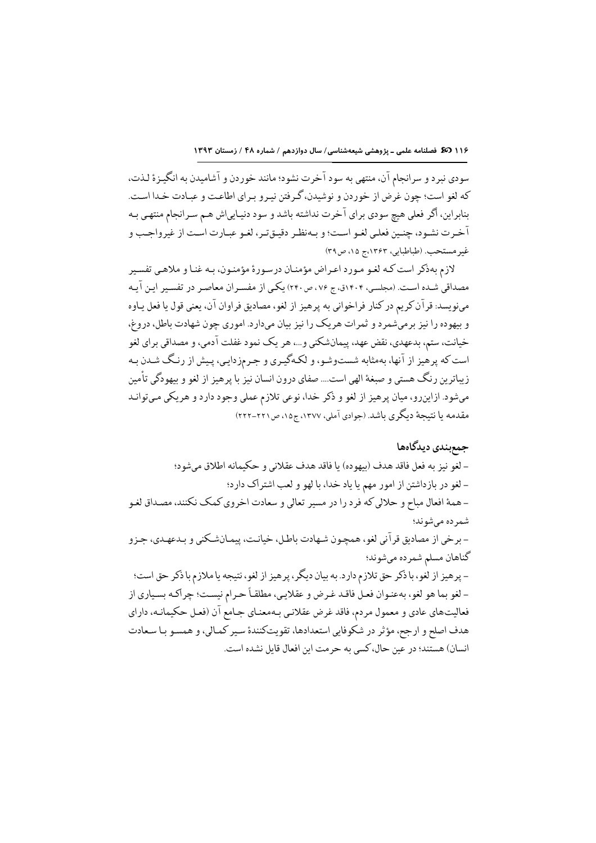١١۶ 35 فصلنامه علمی ـ پژوهشی شیعهشناسی/ سال دوازدهم / شماره ۴۸ / زمستان ١٣٩٣

سودي نبرد و سرانجام آن، منتهي به سود آخرت نشود؛ مانند خوردن و آشاميدن به انگيـزة لـذت، كه لغو است؛ چون غرض از خوردن و نوشيدن، گرفتن نيـرو بـراي اطاعـت و عبـادت خـدا اسـت. بنابراین، اگر فعلی هیچ سودی برای آخرت نداشته باشد و سود دنیـاییاش هـم سـرانجام منتهـی بـه آخرت نشود، چنـین فعلـي لغـو اسـت؛ و بـهنظـر دقيـقتـر، لغـو عبـارت اسـت از غيرواجـب و غير مستحب. (طباطبايي، ١٣۶٣،ج ١۵، ص٣٩)

لازم بهذكر است كـه لغـو مـورد اعـراض مؤمنـان درسـورهٔ مؤمنـون، بـه غنـا و ملاهـي تفسـير مصداقی شـده اسـت. (مجلسـی، ۱۴۰۴ق، ج ۷۶، ص۲۴۰) یکـی از مفسـران معاصـر در تفسـیر ایـن آیـه مىنويسد: قرآن كريم در كنار فراخواني به پرهيز از لغو، مصاديق فراوان آن، يعني قول يا فعل يـاوه و بیهوده را نیز برمیشمرد و ثمرات هریک را نیز بیان میدارد. اموری چون شهادت باطل، دروغ، خیانت، ستم، بدعهدی، نقض عهد، پیمانشکنی و ...، هر یک نمود غفلت آدمی، و مصداقی برای لغو است که پرهیز از آنها، بهمثابه شستوشو، و لکهگیری و جرمزدایی، پیش از رنگ شـدن بـه زیباترین رنگ هستی و صبغهٔ الهی است…. صفای درون انسان نیز با پرهیز از لغو و بیهودگی تأمین میشود. ازاینرو، میان پرهیز از لغو و ذکر خدا، نوعی تلازم عملی وجود دارد و هریکی مـیتوانـد مقدمه یا نتیجهٔ دیگری باشد. (جوادی آملی، ۱۳۷۷، ج۱۵، ص۲۲۱-۲۲۲)

### جمع بندى ديدگاهها

– لغو نيز به فعل فاقد هدف (بيهوده) يا فاقد هدف عقلاني و حكيمانه اطلاق مي شود؛ - لغو در بازداشتن از امور مهم يا ياد خدا، با لهو و لعب اشتراك دارد؛ ـ همهٔ افعال مباح و حلالي كه فرد را در مسير تعالى و سعادت اخروي كمك نكنند، مصـداق لغـو شمر ده می شو ند؛ - برخي از مصاديق قرآني لغو، همچون شـهادت باطـل، خيانـت، پيمـانشـكني و بـدعهـدي، جـزو گناهان مسلم شمرده مىشوند؛ - پرهيز از لغو، با ذكر حق تلازم دارد. به بيان ديگر، پرهيز از لغو، نتيجه يا ملازم با ذكر حق است؛ - لغو بما هو لغو، بهعنـوان فعـل فاقـد غـرض و عقلايـي، مطلقـاً حـرام نيسـت؛ چراكـه بسـياري از فعالیتهای عادی و معمول مردم، فاقد غرض عقلانیی بـهمعنـای جـامع آن (فعـل حکیمانـه، دارای هدف اصلح و ارجح، مؤثر در شكوفايي استعدادها، تقويتكنندة سير كمـالي، و همسـو بـا سـعادت انسان) هستند؛ در عین حال، کسی به حرمت این افعال قایل نشده است.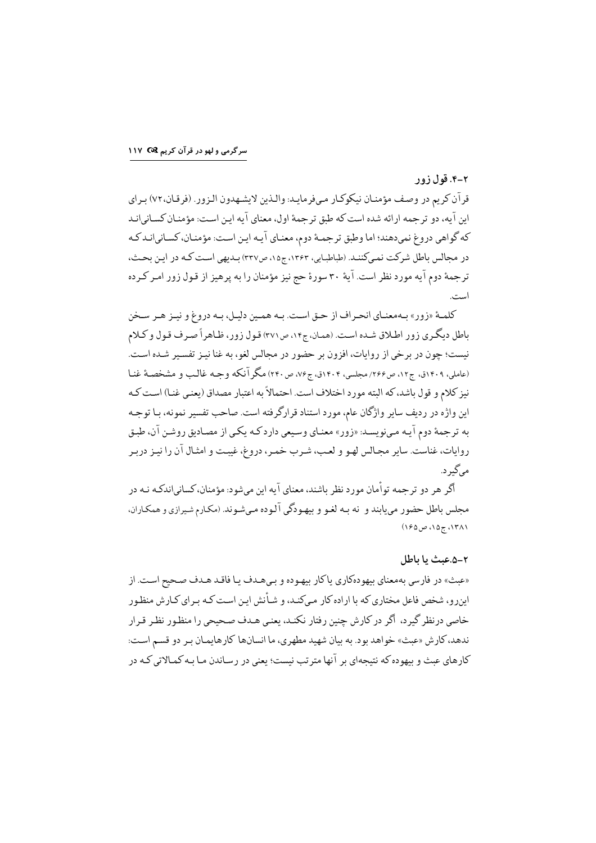سرگرمی و لهو در قرآن کریم I۱۷ ۲

### ۲-۴. قول زور

قران کریم در وصف مؤمنان نیکوکار میفرمایـد: والـذین لایشـهدون الـزور. (فرقـان،٧٢) بـراي این آیه، دو ترجمه ارائه شده است که طبق ترجمهٔ اول، معنای آیه ایـن اسـت: مؤمنـان کسـانی|نـد که گواهی دروغ نمیدهند؛ اما وطبق ترجمـهٔ دوم، معنـای ایـه ایـن اسـت: مؤمنـان، کسـانیانـد کـه در مجالس باطل شركت نمىكنند. (طباطبايي، ١٣۶٣، ج١٥، ص٣٢٧) بـديهي است كـه در ايـن بحـث، ترجمهٔ دوم ایه مورد نظر است. ایهٔ ۳۰ سورهٔ حج نیز مؤمنان را به پرهیز از قول زور امـر کـرده است.

کلمهٔ «زور» به معنیای انحیراف از حتی است. به همین دلیل، به دروغ و نینز هیر سیخن باطل دیگری زور اطلاق شـده اسـت. (همان، ج۱۴، ص٣٧١) قـول زور، ظـاهراً صـرف قـول و كـلام نيست؛ چون در برخي از روايات، افزون بر حضور در مجالس لغو، به غنا نيـز تفسـير شـده اسـت. (عاملي، ١٢٠٩ق، ج١٢، ص٢٢۶/ مجلسي، ١۴٠۴ق، ج٧۶، ص٢۴٠) مگر آنكه وجـه غالـب و مشخصـهٔ غنـا نيز كلام و قول باشد، كه البته مورد اختلاف است. احتمالاً به اعتبار مصداق (يعني غنـا) اسـت كـه این واژه در ردیف سایر واژگان عام، مورد استناد قرارگر فته است. صاحب تفسیر نمونه، با توجـه به ترجمهٔ دوم آیـه مـىنويسـد. «زور» معنـاى وسـيعى داردكـه يكـى از مصـاديق روشـن آن، طبـق روايات، غناست. ساير مجالس لهـو و لعـب، شـرب خمـر، دروغ، غيبـت و امثـال آن را نيـز دربـر می گیر د.

اگر هر دو ترجمه توامان مورد نظر باشند، معنای ایه این میشود: مؤمنان، کسانیاندکـه نـه در محلس باطل حضور می بایند و نه به لغـو و بیهـودگی آلـوده مـی شـوند. (مکـارم شـیرازی و همکـاران، ۱۳۸۱، ج۱۵، ص۱۶۵)

#### ٢-۵.عبث يا باطل

«عبث» در فارسي بهمعناي بيهودهكاري ياكار بيهـوده و بـيهـدف يـا فاقـد هـدف صـحيح اسـت. از این٫رو، شخص فاعل مختاری که با اراده کار میکنـد، و شـأنش ایـن اسـت کـه بـر ای کـارش منظـور خاصی در نظر گیر د، اگر در کارش چنن رفتار نکنـد، بعنبی هـدف صـحبحی را منظـور نظـر قـرار ندهد، كارش «عبث» خواهد بود. به بيان شهيد مطهري، ما انسانها كارهايمـان بـر دو قسـم اسـت: کار های عیث و پهوده که نتیجهای بر آنها مترتب نیست؛ یعنی در رساندن میا به کمیالاتی کیه در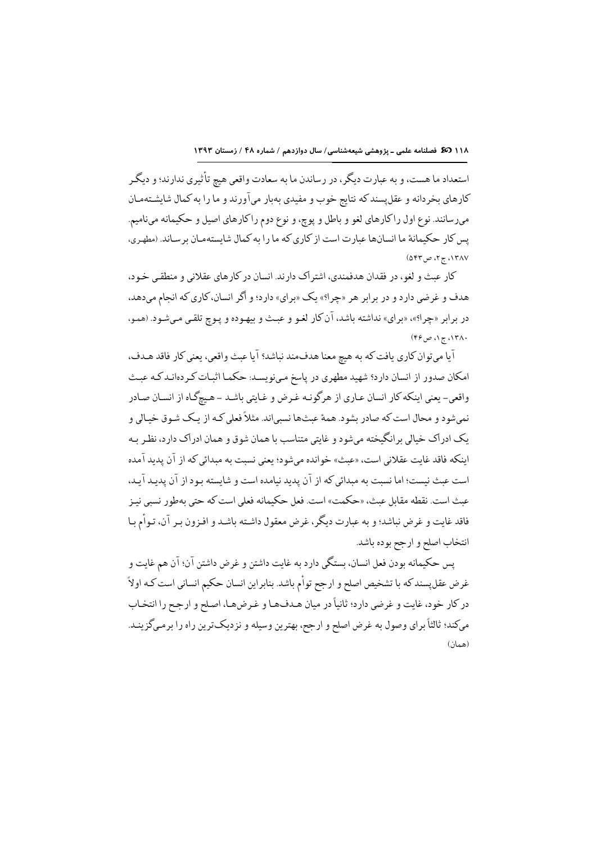استعداد ما هست، و به عبارت دیگر، در رساندن ما به سعادت واقعي هيچ تأثيري ندارند؛ و ديگر كارهاي بخردانه و عقل يسند كه نتايج خوب و مفيدي بهبار ميآورند و ما را به كمال شايشـتهمـان ميرسانند. نوع اول راكارهاي لغو و باطل و يوچ، و نوع دوم راكارهاي اصيل و حكيمانه ميiاميم. یس کار حکیمانهٔ ما انسانها عبارت است از کاری که ما را به کمال شایستهمان برساند. (مطهری، (۵۴۳ ج ۲، ص ۵۴۳)

كار عبث و لغو، در فقدان هدفمندي، اشتراك دارند. انسان در كارهاي عقلاني و منطقى خـود، هدف و غرضي دارد و در برابر هر «چرا؟» یک «براي» دارد؛ و اگر انسان، كاري كه انجام مىدهد، در برابر «چرا؟»، «براي» نداشته باشد، آن كار لغو و عبث و بيهـوده و پـوچ تلقـي مـيشـود. (همـو،  $($ ۴۶ ج ۱، ص $\sqrt{?}$ 

أيا ميتوان كاري يافت كه به هيچ معنا هدفمند نباشد؟ أيا عبث واقعي، يعني كار فاقد هـدف، امکان صدور از انسان دارد؟ شهید مطهری در پاسخ مینویسـد: حکمـا اثبـات کـردهانـدکـه عبـث واقعي- يعني اينكه كار انسان عـاري از هرگونـه غـرض و غـايتي باشـد ــ هـيچگـاه از انسـان صـادر نمی شو د و محال است که صادر پشود. همهٔ عیثها نسبی اند. مثلاً فعلی کـه از یـک شـوق خیـالی و یک ادراک خیالی بر انگیخته می شود و غایتی متناسب با همان شوق و همان ادراک دارد، نظر بـه اىنكە فاقد غاىت عقلانى است، «عىث» خواندە مى شود؛ ىعنى نسىت بە مىدائى كە از آن يدىد آمدە است عيث نسبت؛ اما نسبت به مبدائي كه از آن يديد نيامده است و شايسته بود از آن يديـد آيـد، عبث است. نقطه مقابل عبث، «حكمت» است. فعل حكيمانه فعلى است كه حتى بهطور نسبي نيـز فاقد غايت و غرض نباشد؛ و به عبارت ديگر ، غرض معقول داشته باشـد و افـزون بـر آن، تـوأم بـا انتخاب اصلح و ارجح بوده باشد.

يس حكيمانه بودن فعل انسان، بستگي دارد به غايت داشتن و غرض داشتن آن؛ آن هم غايت و غرض عقل پسند که با تشخیص اصلح و ارجح تواًم باشد. بنابراین انسان حکیم انسانی است کـه اولاً در كار خود، غايت و غرضي دارد؛ ثانياً در ميان هـدفهـا و غـرضهـا، اصـلح و ارجـح را انتخـاب میکند؛ ثالثاً برای وصول به غرض اصلح و ارجح، بهترین وسیله و نزدیکترین راه را برمـیگزینـد. (همان)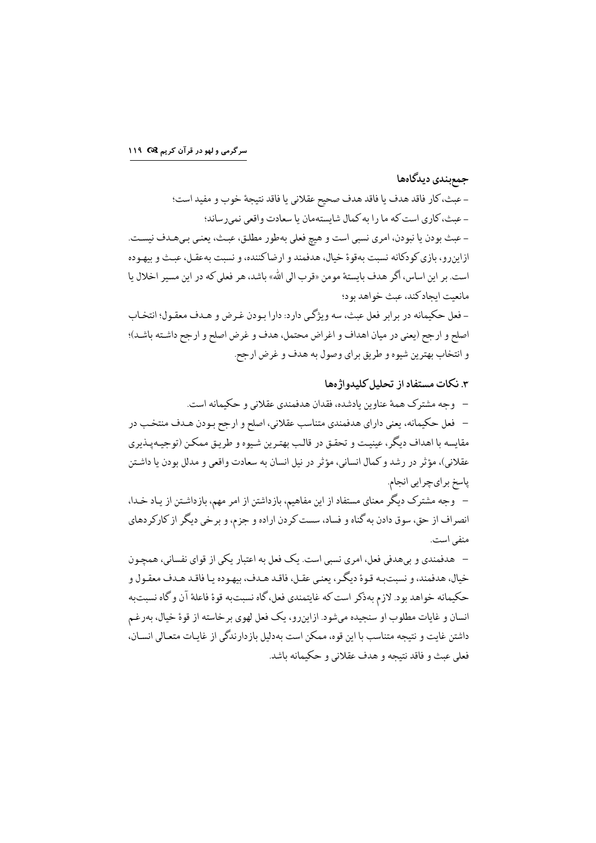### جمع بندى ديدگاهها

- عبث، كار فاقد هدف يا فاقد هدف صحيح عقلاني يا فاقد نتيجة خوب و مفيد است؛ - عبث، كاري است كه ما را به كمال شايستهمان يا سعادت واقعى نمىرساند؛ - عبث بودن یا نبودن، امری نسبی است و هیچ فعلی بهطور مطلق، عبـث، یعنـی بـیهـدف نیسـت. ازاینرو، بازی کودکانه نسبت بهقوهٔ خیال، هدفمند و ارضاکننده، و نسبت بهعقـل، عبـث و بیهـوده است. بر اين اساس، أگر هدف بايستهٔ مومن «قرب الى الله» باشد، هر فعلى كه در اين مسير اخلال يا مانعت ايجاد كند، عيث خواهد بود؛

– فعل حکیمانه در برابر فعل عیث، سه ویژگی دارد: دارا بودن غیرض و هیدف معقبول؛ انتخیاب اصلح و ارجح (يعني در ميان اهداف و اغراض محتمل، هدف و غرض اصلح و ارجح داشته باشد)؛ و انتخاب بهترين شيوه و طريق براي وصول به هدف و غرض ارجح.

۳. نکات مستفاد از تحلیل کلیدو اژهها

– وجه مشترک همهٔ عناوین یادشده، فقدان هدفمندی عقلانی و حکیمانه است. – فعل حکیمانه، یعنی دارای هدفمندی متناسب عقلانی، اصلح و ارجح بـودن هـدف منتخـب در مقايسه با اهداف ديگر، عينيت و تحقـق در قالـب بهتـرين شـيوه و طريـق ممكـن (توجيـه يـذيري عقلاني)، مؤثر در رشد و كمال انساني، مؤثر در نيل انسان به سعادت واقعي و مدلل بودن يا داشـتن پاسخ برايچرايي انجام.

– وجه مشترک دیگر معنای مستفاد از این مفاهیم، بازداشتن از امر مهم، بازداشـتن از یـاد خـدا، انصراف از حق، سوق دادن به گناه و فساد، سست کردن اراده و جزم، و برخی دیگر از کارکردهای منفي است.

– هدفمندي و بيهدفي فعل، امري نسبي است. يک فعل به اعتبار يکي از قواي نفساني، همچـون خيال، هدفمند، و نسبت به قـوة ديگـر، يعنـي عقـل، فاقـد هـدف، بيهـوده يـا فاقـد هـدف معقـول و حكيمانه خواهد بود. لازم بهذكر است كه غايتمندي فعل، گاه نسبتبه قوة فاعلة آن و گاه نسىتىه انسان و غايات مطلوب او سنجيده ميشود. ازاينرو، يک فعل لهوي برخاسته از قوة خيال، بەرغم داشتن غايت و نتيجه متناسب با اين قوه، ممكن است بهدليل بازدارندگي از غايـات متعـالي انسـان، فعلى عبث و فاقد نتيجه و هدف عقلاني و حكيمانه باشد.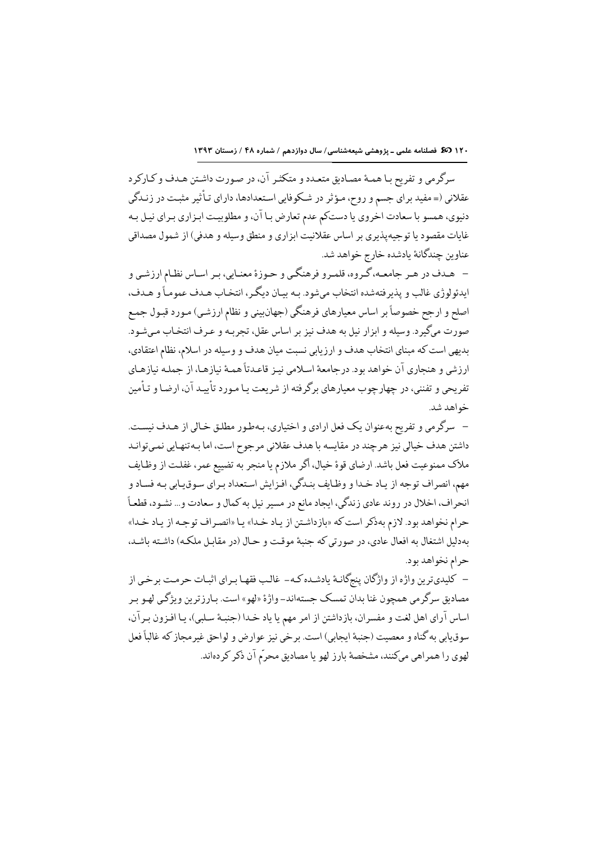**۱۲۰ ( کرینگ ف**صلنامه علمی ـ پژوهشی شیعهشناسی/ سال دوازدهم / شماره ۴۸ / زمستان ۱۳۹۳

سرگرمي و تفريح بـا همـهٔ مصـاديق متعـدد و متكثـر آن، در صـورت داشـتن هـدف و كـاركرد عقلانی (= مفید برای جسم و روح، مـؤثر در شـكوفایی اسـتعدادها، دارای تـأثیر مثبـت در زنـدگی دنیوي، همسو با سعادت اخروي يا دستكم عدم تعارض بـا آن، و مطلوبيـت ابـزاري بـراي نيـل بـه غايات مقصود يا توجيه يذيري بر اساس عقلانيت ابزاري و منطق وسيله و هدفي) از شمول مصداقي عناوين چندگانهٔ يادشده خارج خواهد شد.

– هـدف در هـر جامعـه، گـروه، قلمـرو فرهنگـي و حـوزهٔ معنـايي، بـر اسـاس نظـام ارزشـي و ايدئولوژي غالب و پذيرفتهشده انتخاب مي شود. بـه بيـان ديگـر، انتخـاب هـدف عمومـاً و هـدف، اصلح و ارجح خصوصاً بر اساس معيارهاي فرهنگي (جهانبيني و نظام ارزشي) مـورد قبـول جمـع صورت میگیرد. وسیله و ابزار نیل به هدف نیز بر اساس عقل، تجربـه و عـرف انتخـاب مـیشـود. بديهي است كه مبناي انتخاب هدف و ارزيابي نسبت ميان هدف و وسيله در اسلام، نظام اعتقادي، ارزشي و هنجاري آن خواهد بود. درجامعهٔ اسلامي نيـز قاعـدتاً همـهٔ نيازهـا، از جملـه نيازهـاي تفریحی و تفننی، در چهارچوب معیارهای برگرفته از شریعت یا مـورد تأییـد آن، ارضـا و تـأمین خواهد شد.

– سرگرمي و تفريح بهعنوان يک فعل ارادي و اختياري، بـهطـور مطلـق خـالي از هـدف نيسـت. داشتن هدف خیالی نیز هرچند در مقایسه با هدف عقلانی مرجوح است، اما بـهتنهـایی نمـیتوانـد ملاك ممنوعيت فعل باشد. ارضاي قوة خيال، أكر ملازم يا منجر به تضييع عمر، غفلت از وظـايف مهم، انصراف توجه از ياد خدا و وظايف بندگي، افزايش استعداد بـراي سـوقيـابي بـه فسـاد و انحراف، اخلال در روند عادي زندگي، ايجاد مانع در مسير نيل به كمال و سعادت و ... نشـود، قطعـاً حرام نخواهد بود. لازم بهذكر است كه «بازداشتن از ياد خدا» يا «انصراف توجه از ياد خدا» بهدليل اشتغال به افعال عادي، در صورتي كه جنبة موقت و حـال (در مقابـل ملكـه) داشـته باشـد، حرام نخواهد بود.

– كليديترين واژه از واژگان پنجگانـهٔ يادشـده كـه- غالب فقهـا بـراي اثبـات حرمـت برخي از مصاديق سرگرمي همچون غنا بدان تمسك جستهاند- واژهٔ «لهو» است. بـارزترين ويژگي لهـو بـر اساس آراي اهل لغت و مفسران، بازداشتن از امر مهم يا ياد خـدا (جنبـهٔ سـلبي)، يـا افـزون بـرآن، سوق يابي به گناه و معصيت (جنبهٔ ايجابي) است. برخي نيز عوارض و لواحق غيرمجاز كه غالباً فعل لهوي را همراهي ميكنند، مشخصة بارز لهو يا مصاديق محرّم آن ذكر كردهاند.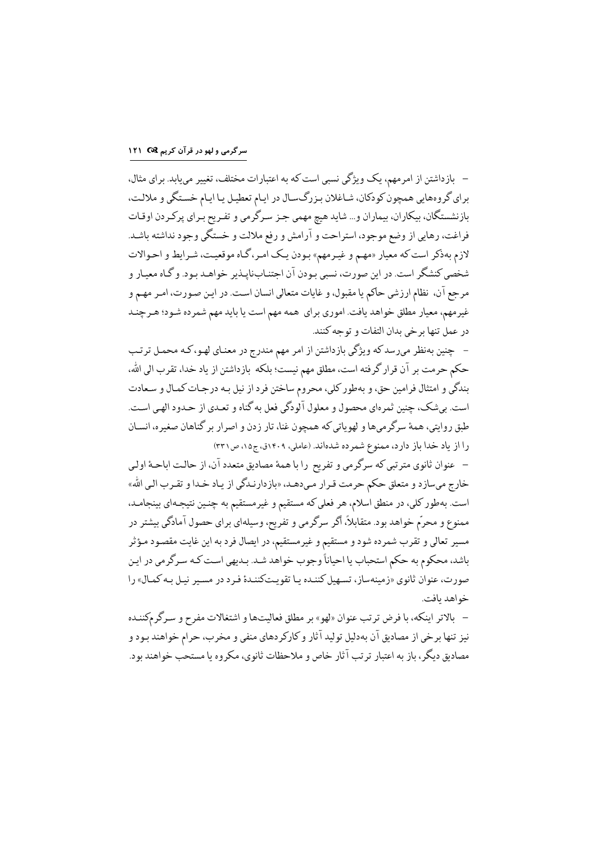سرگرمی و لهو در قرآن کریم I۲۱ Q

– بازداشتن از امرمهم، یک ویژگی نسبی است که به اعتبارات مختلف، تغییر مییابد. برای مثال، برای گروههایی همچون کودکان، شـاغلان بـزرگـسـال در ايـام تعطيـل يـا ايـام خسـتگي و ملالـت، بازنشستگان، بیکاران، بیماران و… شاید هیچ مهمی جـز سـرگرمی و تفـریح بـرای پرکـردن اوقـات فراغت، رهايي از وضع موجود، استراحت و آرامش و رفع ملالت و خستگي وجود نداشته باشـد. لازم بهذكر است كه معيار «مهم و غيرمهم» بودن يك امر، گـاه موقعيت، شـرايط و احـوالات شخصي كنشگر است. در اين صورت، نسبي بـودن آن اجتنـابنايـذير خواهـد بـود. و گـاه معيـار و مرجع آن، نظام ارزشي حاكم يا مقبول، و غايات متعالى انسان است. در اين صورت، امـر مهـم و غیرمهم، معیار مطلق خواهد یافت. اموری برای همه مهم است یا باید مهم شمرده شـود؛ هـرچنـد در عمل تنها بر خي بدان التفات و توحه كنند.

– چنین بهنظر میرسدکه ویژگی بازداشتن از امر مهم مندرج در معنای لهـو،کـه محمـل ترتـب حکم حرمت بر آن قرار گرفته است، مطلق مهم نیست؛ بلکه بازداشتن از یاد خدا، تقرب الی الله، بندگي و امتثال فرامين حق، و بهطور كلي، محروم ساختن فرد از نيل بـه درجـات كمـال و سـعادت است. بيشك، چنين ثمرهاي محصول و معلول آلودگي فعل به گناه و تعـدي از حـدود الهـي اسـت. طبق روایتی، همهٔ سرگرمیها و لهویاتی که همچون غنا، تار زدن و اصرار بر گناهان صغیره، انسـان را از یاد خدا باز دارد، ممنوع شمرده شدهاند. (عاملی، ۱۴۰۹ق، ج۱۵، ص۳۳۱)

– عنوان ثانوي مترتبي كه سرگرمي و تفريح را با همهٔ مصاديق متعدد آن، از حالت اباحـهٔ اولـي خارج ميسازد و متعلق حكم حرمت قـرار مـيدهـد، «بازدارنـدگي از يـاد خـدا و تقـرب الـي الله» است. بهطور کلی، در منطق اسلام، هر فعلی که مستقیم و غیرمستقیم به چنـین نتیجـهای بینجامـد، ممنوع و محرّم خواهد بود. متقابلاً، أكر سرگرمي و تفريح، وسيلهاي براي حصول آمادگي بيشتر در مسیر تعالی و تقرب شمرده شود و مستقیم و غیرمستقیم، در ایصال فرد به این غایت مقصود مـؤثر .<br>باشد، محکوم به حکم استحباب یا احیاناً وجوب خواهد شـد. بـدیهی اسـت کـه سـرگرمی در ایـن صورت، عنوان ثانوي «زمينهساز، تسهيل كننـده يـا تقويـتكننـدة فـرد در مسـير نيـل بـه كمـال» را خواهد بافت.

– بالاتر اینکه، با فرض ترتب عنوان «لهو» بر مطلق فعالیتها و اشتغالات مفرح و سـرگرمکننـده نیز تنها برخی از مصادیق آن بهدلیل تولید آثار و کارکردهای منفی و مخرب، حرام خواهند بـود و مصاديق ديگر، باز به اعتبار ترتب آثار خاص و ملاحظات ثانوي، مكروه يا مستحب خواهند بود.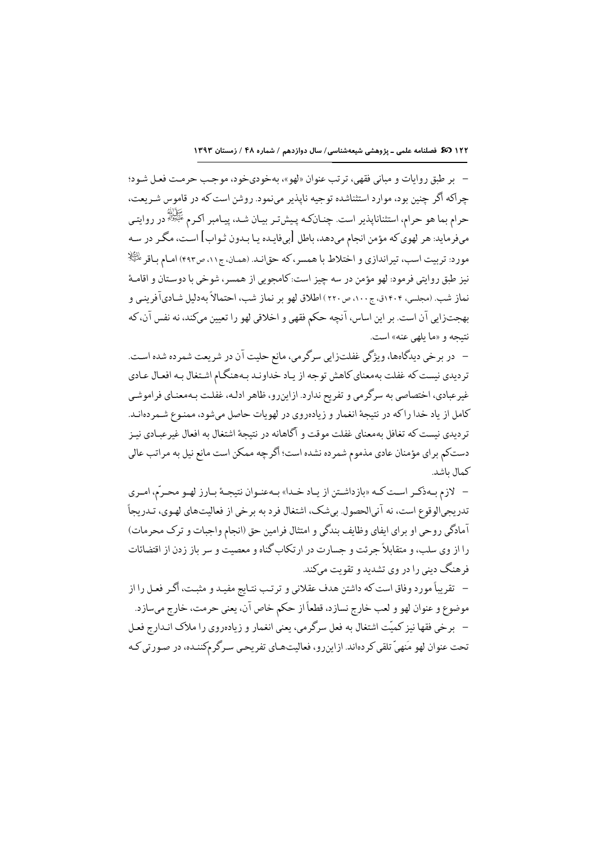– بر طبق روايات و مباني فقهي، ترتب عنوان «لهو»، بهخودي،خود، موجب حرمت فعـل شـود؛ چراکه اگر چنین بود، موارد استثناشده توجیه ناپذیر مینمود. روشن است که در قاموس شـریعت، حرام بما هو حرام، استثناناپذیر است. چنـانکـه پـیش5ـر بیـان شـد، پیـامبر اکـرم <sup>عَلِيُوْل</sup>اً در روايتـي میفرماید: هر لهوی که مؤمن انجام میدهد، باطل [بیفایـده یـا بـدون ثـواب] اسـت، مگـر در سـه مورد: تربیت اسب، تیراندازی و اختلاط با همسر، که حقانـد. (همـان، ج١١، ص٤٩٣) امـام بـاقر لَكِيْلًا نيز طبق روايتي فرمود: لهو مؤمن در سه چيز است: كامجويي از همسر، شوخي با دوستان و اقامـهٔ نماز شب. (مجلسي، ۱۴۰۴ق، ج۱۰۰، ص۲۲۰) اطلاق لهو بر نماز شب، احتمالاً بهدليل شـاديآفرينـي و بهجتزایی آن است. بر این اساس، آنچه حکم فقهی و اخلاقی لهو را تعیین میکند، نه نفس آن،که نتبجه و «ما بلهی عنه» است.

– در برخي ديدگاهها، ويژگي غفلتزايي سرگرمي، مانع حليت آن در شريعت شمرده شده است. تردیدی نیست که غفلت بهمعنای کاهش توجه از یاد خداونـد بـههنگـام اشـتغال بـه افعـال عـادي غیرعبادی، اختصاصی به سرگرمی و تفریح ندارد. ازاینرو، ظاهر ادلـه، غفلـت بـهمعنـای فراموشـی كامل از ياد خدا راكه در نتيجة انغمار و زيادهروي در لهويات حاصل مي شود، ممنـوع شـمر دهانـد. تر دیدی نیست که تغافل بهمعنای غفلت موقت و آگاهانه در نتیجهٔ اشتغال به افعال غیر عبـادی نیـز دستکم برای مؤمنان عادی مذموم شمرده نشده است؛ اگرچه ممکن است مانع نیل به مراتب عالی كمال ىاشد.

- لازم بهذكـر اسـت كـه «بازداشـتن از يـاد خـدا» بـهعنـوان نتيجـهٔ بـارز لهـو محـرّم، امـري تدريجيالوقوع است، نه آنيالحصول بي شک، اشتغال فرد به برخي از فعاليتهاي لهـوي، تـدريجاً آمادگی روحی او برای ایفای وظایف بندگی و امتثال فرامین حق (انجام واجبات و ترک محرمات) را از وی سلب، و متقابلاً جرئت و جسارت در ارتکاب گناه و معصیت و سر باز زدن از اقتضائات فرهنگ دینی را در وی تشدید و تقویت میکند.

– تقریباً مورد وفاق است که داشتن هدف عقلانی و ترتب نتـایج مفیـد و مثبـت، اگـر فعـل را از موضوع و عنوان لهو و لعب خارج نسازد، قطعاً از حکم خاص آن، يعني حرمت، خارج ميسازد. – برخي فقها نيز كميّت اشتغال به فعل سرگرمي، يعني انغمار و زيادهروي را ملاك انـدارج فعـل تحت عنوان لهو مَنهيِّ تلقي كردهاند. ازاينررو، فعاليتهـاي تفريحـي سـرگرمكننـده، در صـورتي كـه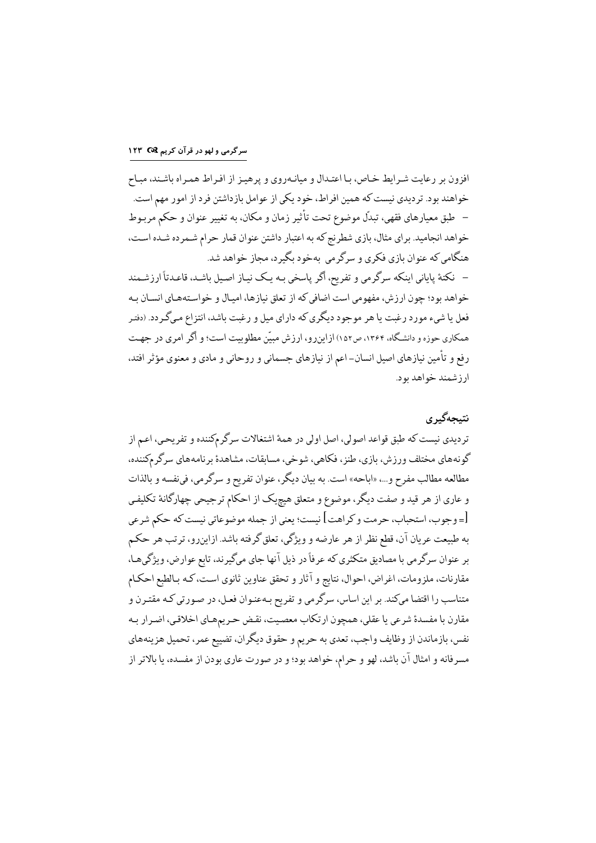# سرگرمی و لهو در قرآن کریم 1۲۳ M

افزون بر رعايت شـرايط خـاص، بـا اعتـدال و ميانـهروي و پرهيـز از افـراط همـراه باشـند، مبـاح خواهند بود. تردیدی نیست که همین افراط، خود یکی از عوامل بازداشتن فرد از امور مهم است. – طبق معیارهای فقهی، تبدّل موضوع تحت تأثیر زمان و مکان، به تغییر عنوان و حکم مربـوط خواهد انجامید. برای مثال، بازی شطرنج که به اعتبار داشتن عنوان قمار حرام شـمرده شـده اسـت، هنگامي كه عنوان يازي فكري و سرگرمي په خود يگيرد، محاز خواهد شد. – نکتهٔ پایانی اینکه سرگرمی و تفریح، اگر پاسخی بـه یـک نیـاز اصـیل باشـد، قاعـدتأ ارزشـمند خواهد بود؛ چون ارزش، مفهومي است اضافي كه از تعلق نيازها، اميـال و خواسـتههـاي انسـان بـه فعل یا شيء مورد رغبت یا هر موجود ديگري كه داراي ميل و رغبت باشد، انتزاع مـيگـردد. (دفتـر همکاری حوزه و دانشگاه، ۱۳۶۴، ص۱۵۲) ازاین رو، ارزش مبیّن مطلوبیت است؛ و اگر امری در جهت رفع و تأمین نیازهای اصیل انسان–اعم از نیازهای جسمانی و روحانی و مادی و معنوی مؤثر افتد، ار ز شمند خواهد بود.

### نتىحەگىر ي

تردیدی نیست که طبق قواعد اصولی، اصل اولی در همهٔ اشتغالات سرگرمکننده و تفریحی، اعم از گونههای مختلف ورزش، بازی، طنز، فکاهی، شوخی، مسابقات، مشاهدهٔ برنامههای سرگرمکننده، مطالعه مطالب مفرح و…، «اباحه» است. به بيان ديگر، عنوان تفريح و سرگرمي، في نفسه و بالذات و عاری از هر قید و صفت دیگر، موضوع و متعلق هیچیک از احکام ترجیحی چهارگانهٔ تکلیفی [=وجوب، استحباب، حرمت و كراهت] نيست؛ يعني از جمله موضوعاتي نيست كه حكم شرعي به طبیعت عریان آن، قطع نظر از هر عارضه و ویژگی، تعلق گرفته باشد. ازاینررو، ترتب هر حکم بر عنوان سرگرمي با مصاديق متكثري كه عرفاً در ذيل آنها جاي ميگيرند، تابع عوارض، ويژگيهـا، مقارنات، ملزومات، اغراض، احوال، نتايج و آثار و تحقق عناوين ثانوي است، كـه بـالطبع احكـام متناسب را اقتضا میکند. بر این اساس، سرگرمی و تفریح بـهعنـوان فعـل، در صـورتی کـه مقتـرن و مقارن با مفسدهٔ شرعی یا عقلی، همچون ارتکاب معصیت، نقـض حـریمهـای اخلاقـی، اضـرار بـه نفس، بازماندن از وظایف واجب، تعدي به حریم و حقوق دیگران، تضییع عمر، تحمیل هزینههاي مسرفانه و امثال آن باشد، لهو و حرام، خواهد بود؛ و در صورت عاری بودن از مفسده، یا بالاتر از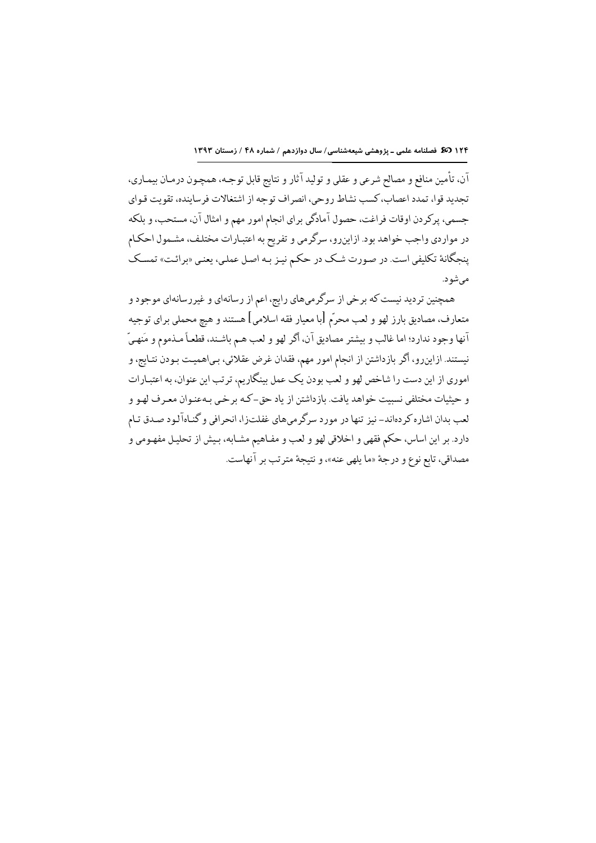آن، تأمین منافع و مصالح شرعی و عقلی و تولید آثار و نتایج قابل توجـه، همچـون درمـان بیمـاری، تجديد قوا، تمدد اعصاب، كسب نشاط روحي، انصراف توجه از اشتغالات فرساينده، تقويت قـواي جسمي، پركردن اوقات فراغت، حصول آمادگي براي انجام امور مهم و امثال آن، مستحب، و بلكه در مواردي واجب خواهد بود. ازاينرو، سرگرمي و تفريح به اعتبارات مختلف، مشمول احكام پنجگانهٔ تکلیفی است. در صورت شک در حکم نیز بـه اصل عملـی، یعنـی «برائـت» تمسـک می شو د.

همچنین تردید نیست که برخی از سرگرمیهای رایج، اعم از رسانهای و غیررسانهای موجود و متعارف، مصاديق بارز لهو و لعب محرّم [با معيار فقه اسلامي] هستند و هيچ محملي براي توجيه آنها وجود ندارد؛ اما غالب و بيشتر مصاديق آن، اگر لهو و لعب هـم باشـند، قطعـاً مـذموم و مَنهـيّ نیستند. ازاینرو، اگر بازداشتن از انجام امور مهم، فقدان غرض عقلائی، بـیاهمیـت بـودن نتـایج، و اموري از اين دست را شاخص لهو و لعب بودن يک عمل بينگاريم، ترتب اين عنوان، به اعتبـارات و حيثيات مختلفي نسبيت خواهد يافت. بازداشتن از ياد حق–كـه برخـي بـهعنـوان معـرف لهـو و لعب بدان اشاره كردهاند- نيز تنها در مورد سرگرميهاي غفلتزا، انحرافي و گنـاهآلـود صـدق تـام دارد. بر اين اساس، حكم فقهي و اخلاقي لهو و لعب و مفـاهيم مشـابه، بـيش از تحليـل مفهـومي و مصداقي، تابع نوع و درجة «ما يلهي عنه»، و نتيجة مترتب بر آنهاست.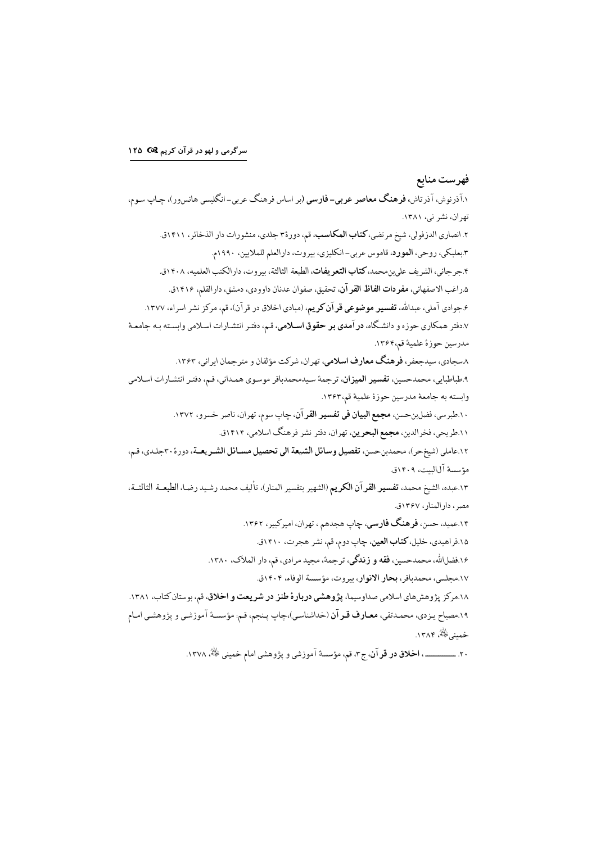سرگرمی و لهو در قرآن کریم 1۲۵ ۲۵

فهرست منابع ۱.آذرنوش، آذرتاش، **فرهنگ معاصر عربی- فارسی** (بر اساس فرهنگ عربی-انگلیسی هانسور)، چـاپ سـوم، تهران، نشر ني، ١٣٨١. ۲. انصاری الدزفولی، شیخ مرتضی، **کتاب المکاسب**، قم، دورهٔ۳ جلدی، منشورات دار الذخائر، ۱۴۱۱ق. ۳.بعلبکي، روحي، المورد، قاموس عربي-انکليزي، بيروت، دارالعلم للملايين، ١٩٩٠م. ۴.جرجاني، الشريف على ين محمد، كتاب التعريفات، الطبعة الثالثة، بيروت، دارالكتب العلميه، ١٤٠٨ق. ۰.داغب الاصفهاني، **مفردات الفاظ القر** آن، تحقيق، صفوان عدنان داوودي، دمشق، دارالقلم، ۱۴۱۶ق. ۶.جوادي آملي، عبدالله، **تفسير موضوعي قر آن كريم**، (مبادي اخلاق در قرآن)، قم، مركز نشر اسراء، ۱۳۷۷. ۰.دفتر همکاري حوزه و دانشگاه، **در آمدي بر حقوق اسـلامي**، قـم، دفتـر انتشـارات اسـلامي وابسـته بـه جامعـهٔ مدرسين حوزة علمية قم،١٣۶۴. ۸.سجادی، سیدجعفر، فرهنگ معارف اسلامی، تهر ان، شرکت مؤلفان و متر جمان ایر انی، ۱۳۶۳. ۹.طباطبايي، محمدحسين، **تفسير الميزان**، ترجمة سيدمحمدباقر موسوى همـداني، قـم، دفتـر انتشـارات اسـلامي وابسته به جامعة مدرسين حوزة علمية قم،١٣۶٣. ۱۰ طبرسي، فضلبن حسن، مجمع البيان في تفسير القرآن، چاپ سوم، تهران، ناصر خسرو، ۱۳۷۲. ۱۱.طریحی، فخرالدین، **مجمع البحرین**، تهران، دفتر نشر فرهنگ اسلامی، ۱۴۱۴ق. ١٢.عاملي (شيخحر)، محمدبنحسن، تفصيل وسائل الشيعة الى تحصيل مسـائل الشـريعـة، دورة ٣٠جلدي، قـم، مؤسسة آلالست، ۱۴۰۹ق. ١٣.عبده، الشيخ محمد، **تفسير القر آن الكريم** (الشهير بتفسير المنار)، تأليف محمد رشيد رضا، الطبعــة الثالثــة، مصر، دارالمنار، ۱۳۶۷ق. ۱۴.عمید، حسن، **فرهنگ فارسی**، چاپ هجدهم ، تهران، امیرکبیر، ۱۳۶۲. ۱۵.فراهیدی، خلیل، **کتاب العین**، چاپ دوم، قم، نشر هجرت، ۱۴۱۰ق. ۱۶.فضلالله، محمدحسین، فقه و زندگی، ترجمهٔ، مجید مرادی، قم، دار الملاک، ۱۳۸۰. ١٧.مجلسي، محمدباقر، **بحار الانوار**، بيروت، مؤسسة الوفاء، ١٤٠٤ق. ۱۸.مرکز پژوهشهای اسلامی صداوسیما، **پژوهشی دربارهٔ طنز در شریعت و اخلاق**، قم، بوستان کتاب، ۱۳۸۱. ١٩.مصباح يـزدي، محمـدتقي، معـارف قـرآن (خداشناسـي)،چاپ پـنجم، قـم: مؤسسـهٔ آموزشـي و پژوهشـي امـام خميني څُنهُ، ۱۳۸۴. ۲۰. \_\_\_\_\_\_\_\_، ا**خلاق در قر آن**، ج۳، قم، مؤسسهٔ آموزشی و یژوهشی امام خمینی رضی است.